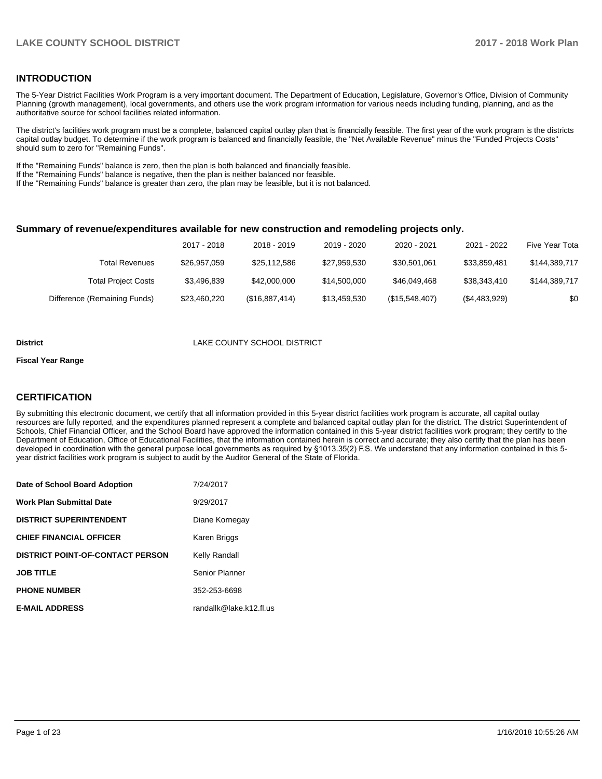### **INTRODUCTION**

The 5-Year District Facilities Work Program is a very important document. The Department of Education, Legislature, Governor's Office, Division of Community Planning (growth management), local governments, and others use the work program information for various needs including funding, planning, and as the authoritative source for school facilities related information.

The district's facilities work program must be a complete, balanced capital outlay plan that is financially feasible. The first year of the work program is the districts capital outlay budget. To determine if the work program is balanced and financially feasible, the "Net Available Revenue" minus the "Funded Projects Costs" should sum to zero for "Remaining Funds".

If the "Remaining Funds" balance is zero, then the plan is both balanced and financially feasible.

If the "Remaining Funds" balance is negative, then the plan is neither balanced nor feasible.

If the "Remaining Funds" balance is greater than zero, the plan may be feasible, but it is not balanced.

### **Summary of revenue/expenditures available for new construction and remodeling projects only.**

| Five Year Tota | 2021 - 2022   | 2020 - 2021    | 2019 - 2020  | 2018 - 2019    | 2017 - 2018  |                              |
|----------------|---------------|----------------|--------------|----------------|--------------|------------------------------|
| \$144,389,717  | \$33.859.481  | \$30.501.061   | \$27.959.530 | \$25,112,586   | \$26,957,059 | Total Revenues               |
| \$144,389,717  | \$38.343.410  | \$46,049,468   | \$14,500,000 | \$42,000,000   | \$3,496,839  | <b>Total Project Costs</b>   |
| \$0            | (\$4,483,929) | (\$15,548,407) | \$13,459,530 | (\$16,887,414) | \$23,460,220 | Difference (Remaining Funds) |

#### **District** LAKE COUNTY SCHOOL DISTRICT

#### **Fiscal Year Range**

### **CERTIFICATION**

By submitting this electronic document, we certify that all information provided in this 5-year district facilities work program is accurate, all capital outlay resources are fully reported, and the expenditures planned represent a complete and balanced capital outlay plan for the district. The district Superintendent of Schools, Chief Financial Officer, and the School Board have approved the information contained in this 5-year district facilities work program; they certify to the Department of Education, Office of Educational Facilities, that the information contained herein is correct and accurate; they also certify that the plan has been developed in coordination with the general purpose local governments as required by §1013.35(2) F.S. We understand that any information contained in this 5year district facilities work program is subject to audit by the Auditor General of the State of Florida.

| Date of School Board Adoption           | 7/24/2017               |
|-----------------------------------------|-------------------------|
| <b>Work Plan Submittal Date</b>         | 9/29/2017               |
| <b>DISTRICT SUPERINTENDENT</b>          | Diane Kornegay          |
| <b>CHIEF FINANCIAL OFFICER</b>          | Karen Briggs            |
| <b>DISTRICT POINT-OF-CONTACT PERSON</b> | Kelly Randall           |
| <b>JOB TITLE</b>                        | Senior Planner          |
| <b>PHONE NUMBER</b>                     | 352-253-6698            |
| <b>E-MAIL ADDRESS</b>                   | randallk@lake.k12.fl.us |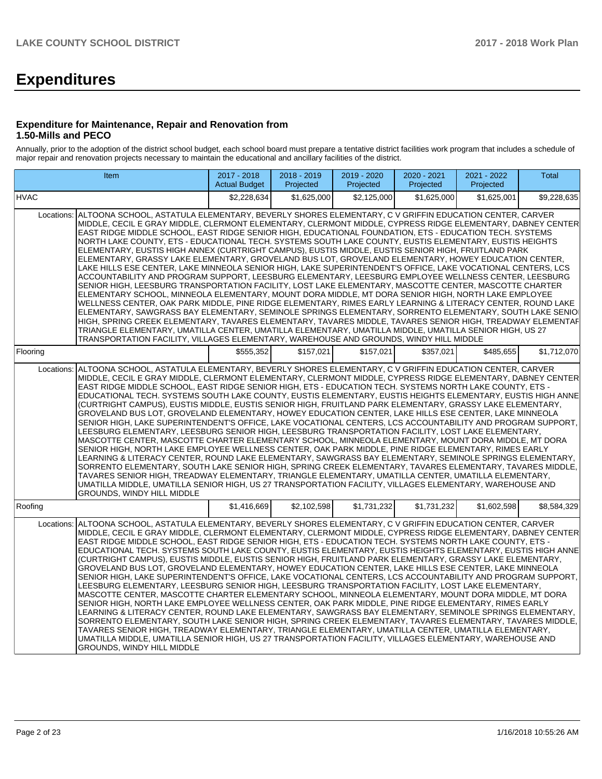# **Expenditures**

### **Expenditure for Maintenance, Repair and Renovation from 1.50-Mills and PECO**

Annually, prior to the adoption of the district school budget, each school board must prepare a tentative district facilities work program that includes a schedule of major repair and renovation projects necessary to maintain the educational and ancillary facilities of the district.

|             | Item                                                                                                                                                                                                                                                                                                                                                                                                                                                                                                                                                                                                                                                                                                                                                                                                                                                                                                                                                                                                                                                                                                                                                                                                                                                                                                                                                                                                                                                                                                                                                                                                                                          | 2017 - 2018<br><b>Actual Budget</b> | 2018 - 2019<br>Projected | 2019 - 2020<br>Projected | 2020 - 2021<br>Projected | 2021 - 2022<br>Projected | Total       |  |  |  |
|-------------|-----------------------------------------------------------------------------------------------------------------------------------------------------------------------------------------------------------------------------------------------------------------------------------------------------------------------------------------------------------------------------------------------------------------------------------------------------------------------------------------------------------------------------------------------------------------------------------------------------------------------------------------------------------------------------------------------------------------------------------------------------------------------------------------------------------------------------------------------------------------------------------------------------------------------------------------------------------------------------------------------------------------------------------------------------------------------------------------------------------------------------------------------------------------------------------------------------------------------------------------------------------------------------------------------------------------------------------------------------------------------------------------------------------------------------------------------------------------------------------------------------------------------------------------------------------------------------------------------------------------------------------------------|-------------------------------------|--------------------------|--------------------------|--------------------------|--------------------------|-------------|--|--|--|
| <b>HVAC</b> |                                                                                                                                                                                                                                                                                                                                                                                                                                                                                                                                                                                                                                                                                                                                                                                                                                                                                                                                                                                                                                                                                                                                                                                                                                                                                                                                                                                                                                                                                                                                                                                                                                               | \$2,228,634                         | \$1,625,000              | \$2,125,000              | \$1,625,000              | \$1,625,001              | \$9,228,635 |  |  |  |
| Locations:  | ALTOONA SCHOOL, ASTATULA ELEMENTARY, BEVERLY SHORES ELEMENTARY, C V GRIFFIN EDUCATION CENTER, CARVER<br>MIDDLE, CECIL E GRAY MIDDLE, CLERMONT ELEMENTARY, CLERMONT MIDDLE, CYPRESS RIDGE ELEMENTARY, DABNEY CENTER<br>EAST RIDGE MIDDLE SCHOOL, EAST RIDGE SENIOR HIGH, EDUCATIONAL FOUNDATION, ETS - EDUCATION TECH. SYSTEMS<br>NORTH LAKE COUNTY, ETS - EDUCATIONAL TECH. SYSTEMS SOUTH LAKE COUNTY, EUSTIS ELEMENTARY, EUSTIS HEIGHTS<br>ELEMENTARY, EUSTIS HIGH ANNEX (CURTRIGHT CAMPUS), EUSTIS MIDDLE, EUSTIS SENIOR HIGH, FRUITLAND PARK<br>ELEMENTARY, GRASSY LAKE ELEMENTARY, GROVELAND BUS LOT, GROVELAND ELEMENTARY, HOWEY EDUCATION CENTER,<br>LAKE HILLS ESE CENTER, LAKE MINNEOLA SENIOR HIGH, LAKE SUPERINTENDENT'S OFFICE, LAKE VOCATIONAL CENTERS, LCS<br>ACCOUNTABILITY AND PROGRAM SUPPORT, LEESBURG ELEMENTARY, LEESBURG EMPLOYEE WELLNESS CENTER, LEESBURG<br>SENIOR HIGH, LEESBURG TRANSPORTATION FACILITY, LOST LAKE ELEMENTARY, MASCOTTE CENTER, MASCOTTE CHARTER<br>ELEMENTARY SCHOOL, MINNEOLA ELEMENTARY, MOUNT DORA MIDDLE, MT DORA SENIOR HIGH, NORTH LAKE EMPLOYEE<br>WELLNESS CENTER, OAK PARK MIDDLE, PINE RIDGE ELEMENTARY, RIMES EARLY LEARNING & LITERACY CENTER, ROUND LAKE<br>ELEMENTARY, SAWGRASS BAY ELEMENTARY, SEMINOLE SPRINGS ELEMENTARY, SORRENTO ELEMENTARY, SOUTH LAKE SENIO<br>HIGH, SPRING CREEK ELEMENTARY, TAVARES ELEMENTARY, TAVARES MIDDLE, TAVARES SENIOR HIGH, TREADWAY ELEMENTAF<br>TRIANGLE ELEMENTARY, UMATILLA CENTER, UMATILLA ELEMENTARY, UMATILLA MIDDLE, UMATILLA SENIOR HIGH, US 27<br>TRANSPORTATION FACILITY, VILLAGES ELEMENTARY, WAREHOUSE AND GROUNDS, WINDY HILL MIDDLE |                                     |                          |                          |                          |                          |             |  |  |  |
| Flooring    |                                                                                                                                                                                                                                                                                                                                                                                                                                                                                                                                                                                                                                                                                                                                                                                                                                                                                                                                                                                                                                                                                                                                                                                                                                                                                                                                                                                                                                                                                                                                                                                                                                               | \$555,352                           | \$157,021                | \$157,021                | \$357,021                | \$485,655                | \$1,712,070 |  |  |  |
| Locations:  | ALTOONA SCHOOL, ASTATULA ELEMENTARY, BEVERLY SHORES ELEMENTARY, C V GRIFFIN EDUCATION CENTER, CARVER<br>MIDDLE, CECIL E GRAY MIDDLE, CLERMONT ELEMENTARY, CLERMONT MIDDLE, CYPRESS RIDGE ELEMENTARY, DABNEY CENTER<br>EAST RIDGE MIDDLE SCHOOL, EAST RIDGE SENIOR HIGH, ETS - EDUCATION TECH. SYSTEMS NORTH LAKE COUNTY, ETS -<br>EDUCATIONAL TECH. SYSTEMS SOUTH LAKE COUNTY, EUSTIS ELEMENTARY, EUSTIS HEIGHTS ELEMENTARY, EUSTIS HIGH ANNE<br>(CURTRIGHT CAMPUS), EUSTIS MIDDLE, EUSTIS SENIOR HIGH, FRUITLAND PARK ELEMENTARY, GRASSY LAKE ELEMENTARY,<br>GROVELAND BUS LOT, GROVELAND ELEMENTARY, HOWEY EDUCATION CENTER, LAKE HILLS ESE CENTER, LAKE MINNEOLA<br>SENIOR HIGH, LAKE SUPERINTENDENT'S OFFICE, LAKE VOCATIONAL CENTERS, LCS ACCOUNTABILITY AND PROGRAM SUPPORT,<br>LEESBURG ELEMENTARY, LEESBURG SENIOR HIGH, LEESBURG TRANSPORTATION FACILITY, LOST LAKE ELEMENTARY,<br>MASCOTTE CENTER, MASCOTTE CHARTER ELEMENTARY SCHOOL, MINNEOLA ELEMENTARY, MOUNT DORA MIDDLE, MT DORA<br>SENIOR HIGH, NORTH LAKE EMPLOYEE WELLNESS CENTER, OAK PARK MIDDLE, PINE RIDGE ELEMENTARY, RIMES EARLY<br>LEARNING & LITERACY CENTER, ROUND LAKE ELEMENTARY, SAWGRASS BAY ELEMENTARY, SEMINOLE SPRINGS ELEMENTARY,<br>SORRENTO ELEMENTARY, SOUTH LAKE SENIOR HIGH, SPRING CREEK ELEMENTARY, TAVARES ELEMENTARY, TAVARES MIDDLE,<br>TAVARES SENIOR HIGH, TREADWAY ELEMENTARY, TRIANGLE ELEMENTARY, UMATILLA CENTER, UMATILLA ELEMENTARY,<br>UMATILLA MIDDLE, UMATILLA SENIOR HIGH, US 27 TRANSPORTATION FACILITY, VILLAGES ELEMENTARY, WAREHOUSE AND<br>GROUNDS, WINDY HILL MIDDLE                                                          |                                     |                          |                          |                          |                          |             |  |  |  |
| Roofing     |                                                                                                                                                                                                                                                                                                                                                                                                                                                                                                                                                                                                                                                                                                                                                                                                                                                                                                                                                                                                                                                                                                                                                                                                                                                                                                                                                                                                                                                                                                                                                                                                                                               | \$1,416,669                         | \$2,102,598              | \$1,731,232              | \$1,731,232              | \$1,602,598              | \$8,584,329 |  |  |  |
| Locations:  | ALTOONA SCHOOL, ASTATULA ELEMENTARY, BEVERLY SHORES ELEMENTARY, C V GRIFFIN EDUCATION CENTER, CARVER<br>MIDDLE, CECIL E GRAY MIDDLE, CLERMONT ELEMENTARY, CLERMONT MIDDLE, CYPRESS RIDGE ELEMENTARY, DABNEY CENTER<br>EAST RIDGE MIDDLE SCHOOL, EAST RIDGE SENIOR HIGH, ETS - EDUCATION TECH. SYSTEMS NORTH LAKE COUNTY, ETS -<br>EDUCATIONAL TECH. SYSTEMS SOUTH LAKE COUNTY, EUSTIS ELEMENTARY, EUSTIS HEIGHTS ELEMENTARY, EUSTIS HIGH ANNE<br>(CURTRIGHT CAMPUS), EUSTIS MIDDLE, EUSTIS SENIOR HIGH, FRUITLAND PARK ELEMENTARY, GRASSY LAKE ELEMENTARY,<br>GROVELAND BUS LOT, GROVELAND ELEMENTARY, HOWEY EDUCATION CENTER, LAKE HILLS ESE CENTER, LAKE MINNEOLA<br>SENIOR HIGH, LAKE SUPERINTENDENT'S OFFICE, LAKE VOCATIONAL CENTERS, LCS ACCOUNTABILITY AND PROGRAM SUPPORT,<br>LEESBURG ELEMENTARY, LEESBURG SENIOR HIGH, LEESBURG TRANSPORTATION FACILITY, LOST LAKE ELEMENTARY,<br>MASCOTTE CENTER, MASCOTTE CHARTER ELEMENTARY SCHOOL, MINNEOLA ELEMENTARY, MOUNT DORA MIDDLE, MT DORA<br>SENIOR HIGH, NORTH LAKE EMPLOYEE WELLNESS CENTER, OAK PARK MIDDLE, PINE RIDGE ELEMENTARY, RIMES EARLY<br>LEARNING & LITERACY CENTER, ROUND LAKE ELEMENTARY, SAWGRASS BAY ELEMENTARY, SEMINOLE SPRINGS ELEMENTARY,<br>SORRENTO ELEMENTARY, SOUTH LAKE SENIOR HIGH, SPRING CREEK ELEMENTARY, TAVARES ELEMENTARY, TAVARES MIDDLE,<br>TAVARES SENIOR HIGH, TREADWAY ELEMENTARY, TRIANGLE ELEMENTARY, UMATILLA CENTER, UMATILLA ELEMENTARY,<br>UMATILLA MIDDLE, UMATILLA SENIOR HIGH, US 27 TRANSPORTATION FACILITY, VILLAGES ELEMENTARY, WAREHOUSE AND<br>GROUNDS, WINDY HILL MIDDLE                                                          |                                     |                          |                          |                          |                          |             |  |  |  |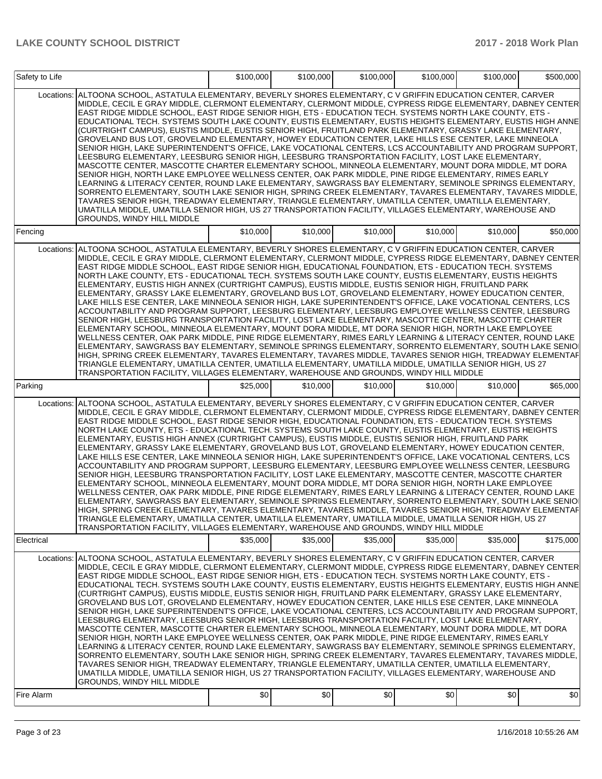| Safety to Life        |                                                                                                                                                                                                                                                                                                                                                                                                                                                                                                                                                                                                                                                                                                                                                                                                                                                                                                                                                                                                                                                                                                                                                                                                                                                                                                                                                                                                                                                                                                                                                                                                                                                                                                                                                                                                                                                                                                                                                                                                                                                                                                                                                                                                                                                                                                                                                                                                                                                                                                                                                                                                                                                                                                                                                                                                                                                                                                                                                                                                                                                                                                      | \$100,000 | \$100,000 | \$100,000 | \$100,000 | \$100,000 | \$500,000 |
|-----------------------|------------------------------------------------------------------------------------------------------------------------------------------------------------------------------------------------------------------------------------------------------------------------------------------------------------------------------------------------------------------------------------------------------------------------------------------------------------------------------------------------------------------------------------------------------------------------------------------------------------------------------------------------------------------------------------------------------------------------------------------------------------------------------------------------------------------------------------------------------------------------------------------------------------------------------------------------------------------------------------------------------------------------------------------------------------------------------------------------------------------------------------------------------------------------------------------------------------------------------------------------------------------------------------------------------------------------------------------------------------------------------------------------------------------------------------------------------------------------------------------------------------------------------------------------------------------------------------------------------------------------------------------------------------------------------------------------------------------------------------------------------------------------------------------------------------------------------------------------------------------------------------------------------------------------------------------------------------------------------------------------------------------------------------------------------------------------------------------------------------------------------------------------------------------------------------------------------------------------------------------------------------------------------------------------------------------------------------------------------------------------------------------------------------------------------------------------------------------------------------------------------------------------------------------------------------------------------------------------------------------------------------------------------------------------------------------------------------------------------------------------------------------------------------------------------------------------------------------------------------------------------------------------------------------------------------------------------------------------------------------------------------------------------------------------------------------------------------------------------|-----------|-----------|-----------|-----------|-----------|-----------|
| Locations:            | ALTOONA SCHOOL, ASTATULA ELEMENTARY, BEVERLY SHORES ELEMENTARY, C V GRIFFIN EDUCATION CENTER, CARVER<br>MIDDLE, CECIL E GRAY MIDDLE, CLERMONT ELEMENTARY, CLERMONT MIDDLE, CYPRESS RIDGE ELEMENTARY, DABNEY CENTER<br>EAST RIDGE MIDDLE SCHOOL, EAST RIDGE SENIOR HIGH, ETS - EDUCATION TECH. SYSTEMS NORTH LAKE COUNTY, ETS -<br>EDUCATIONAL TECH. SYSTEMS SOUTH LAKE COUNTY, EUSTIS ELEMENTARY, EUSTIS HEIGHTS ELEMENTARY, EUSTIS HIGH ANNE<br>(CURTRIGHT CAMPUS), EUSTIS MIDDLE, EUSTIS SENIOR HIGH, FRUITLAND PARK ELEMENTARY, GRASSY LAKE ELEMENTARY,<br>GROVELAND BUS LOT, GROVELAND ELEMENTARY, HOWEY EDUCATION CENTER, LAKE HILLS ESE CENTER, LAKE MINNEOLA<br>SENIOR HIGH, LAKE SUPERINTENDENT'S OFFICE, LAKE VOCATIONAL CENTERS, LCS ACCOUNTABILITY AND PROGRAM SUPPORT,<br>LEESBURG ELEMENTARY, LEESBURG SENIOR HIGH, LEESBURG TRANSPORTATION FACILITY, LOST LAKE ELEMENTARY,<br>MASCOTTE CENTER, MASCOTTE CHARTER ELEMENTARY SCHOOL, MINNEOLA ELEMENTARY, MOUNT DORA MIDDLE, MT DORA<br>SENIOR HIGH, NORTH LAKE EMPLOYEE WELLNESS CENTER, OAK PARK MIDDLE, PINE RIDGE ELEMENTARY, RIMES EARLY<br>LEARNING & LITERACY CENTER, ROUND LAKE ELEMENTARY, SAWGRASS BAY ELEMENTARY, SEMINOLE SPRINGS ELEMENTARY,<br>SORRENTO ELEMENTARY, SOUTH LAKE SENIOR HIGH, SPRING CREEK ELEMENTARY, TAVARES ELEMENTARY, TAVARES MIDDLE,<br>TAVARES SENIOR HIGH, TREADWAY ELEMENTARY, TRIANGLE ELEMENTARY, UMATILLA CENTER, UMATILLA ELEMENTARY,<br>UMATILLA MIDDLE, UMATILLA SENIOR HIGH, US 27 TRANSPORTATION FACILITY, VILLAGES ELEMENTARY, WAREHOUSE AND<br>GROUNDS, WINDY HILL MIDDLE                                                                                                                                                                                                                                                                                                                                                                                                                                                                                                                                                                                                                                                                                                                                                                                                                                                                                                                                                                                                                                                                                                                                                                                                                                                                                                                                                                                                                                                                                                                 |           |           |           |           |           |           |
| Fencing               |                                                                                                                                                                                                                                                                                                                                                                                                                                                                                                                                                                                                                                                                                                                                                                                                                                                                                                                                                                                                                                                                                                                                                                                                                                                                                                                                                                                                                                                                                                                                                                                                                                                                                                                                                                                                                                                                                                                                                                                                                                                                                                                                                                                                                                                                                                                                                                                                                                                                                                                                                                                                                                                                                                                                                                                                                                                                                                                                                                                                                                                                                                      | \$10,000  | \$10,000  | \$10,000  | \$10,000  | \$10,000  | \$50,000  |
| Locations:<br>Parking | ALTOONA SCHOOL, ASTATULA ELEMENTARY, BEVERLY SHORES ELEMENTARY, C V GRIFFIN EDUCATION CENTER, CARVER<br>MIDDLE, CECIL E GRAY MIDDLE, CLERMONT ELEMENTARY, CLERMONT MIDDLE, CYPRESS RIDGE ELEMENTARY, DABNEY CENTER<br>EAST RIDGE MIDDLE SCHOOL, EAST RIDGE SENIOR HIGH, EDUCATIONAL FOUNDATION, ETS - EDUCATION TECH. SYSTEMS<br>NORTH LAKE COUNTY, ETS - EDUCATIONAL TECH. SYSTEMS SOUTH LAKE COUNTY, EUSTIS ELEMENTARY, EUSTIS HEIGHTS<br>ELEMENTARY, EUSTIS HIGH ANNEX (CURTRIGHT CAMPUS), EUSTIS MIDDLE, EUSTIS SENIOR HIGH, FRUITLAND PARK<br>ELEMENTARY, GRASSY LAKE ELEMENTARY, GROVELAND BUS LOT, GROVELAND ELEMENTARY, HOWEY EDUCATION CENTER,<br>LAKE HILLS ESE CENTER, LAKE MINNEOLA SENIOR HIGH, LAKE SUPERINTENDENT'S OFFICE, LAKE VOCATIONAL CENTERS, LCS<br>ACCOUNTABILITY AND PROGRAM SUPPORT, LEESBURG ELEMENTARY, LEESBURG EMPLOYEE WELLNESS CENTER, LEESBURG<br>SENIOR HIGH, LEESBURG TRANSPORTATION FACILITY, LOST LAKE ELEMENTARY, MASCOTTE CENTER, MASCOTTE CHARTER<br>ELEMENTARY SCHOOL, MINNEOLA ELEMENTARY, MOUNT DORA MIDDLE, MT DORA SENIOR HIGH, NORTH LAKE EMPLOYEE<br>WELLNESS CENTER, OAK PARK MIDDLE, PINE RIDGE ELEMENTARY, RIMES EARLY LEARNING & LITERACY CENTER, ROUND LAKE<br>ELEMENTARY, SAWGRASS BAY ELEMENTARY, SEMINOLE SPRINGS ELEMENTARY, SORRENTO ELEMENTARY, SOUTH LAKE SENIO<br>HIGH, SPRING CREEK ELEMENTARY, TAVARES ELEMENTARY, TAVARES MIDDLE, TAVARES SENIOR HIGH, TREADWAY ELEMENTAF<br>TRIANGLE ELEMENTARY, UMATILLA CENTER, UMATILLA ELEMENTARY, UMATILLA MIDDLE, UMATILLA SENIOR HIGH, US 27<br>TRANSPORTATION FACILITY, VILLAGES ELEMENTARY, WAREHOUSE AND GROUNDS, WINDY HILL MIDDLE<br>Locations: ALTOONA SCHOOL, ASTATULA ELEMENTARY, BEVERLY SHORES ELEMENTARY, C V GRIFFIN EDUCATION CENTER, CARVER<br>MIDDLE, CECIL E GRAY MIDDLE, CLERMONT ELEMENTARY, CLERMONT MIDDLE, CYPRESS RIDGE ELEMENTARY, DABNEY CENTER<br>EAST RIDGE MIDDLE SCHOOL, EAST RIDGE SENIOR HIGH, EDUCATIONAL FOUNDATION, ETS - EDUCATION TECH. SYSTEMS<br>NORTH LAKE COUNTY, ETS - EDUCATIONAL TECH. SYSTEMS SOUTH LAKE COUNTY, EUSTIS ELEMENTARY, EUSTIS HEIGHTS<br>ELEMENTARY, EUSTIS HIGH ANNEX (CURTRIGHT CAMPUS), EUSTIS MIDDLE, EUSTIS SENIOR HIGH, FRUITLAND PARK<br>ELEMENTARY, GRASSY LAKE ELEMENTARY, GROVELAND BUS LOT, GROVELAND ELEMENTARY, HOWEY EDUCATION CENTER,<br>LAKE HILLS ESE CENTER, LAKE MINNEOLA SENIOR HIGH, LAKE SUPERINTENDENT'S OFFICE, LAKE VOCATIONAL CENTERS, LCS<br>ACCOUNTABILITY AND PROGRAM SUPPORT, LEESBURG ELEMENTARY, LEESBURG EMPLOYEE WELLNESS CENTER, LEESBURG<br>SENIOR HIGH, LEESBURG TRANSPORTATION FACILITY, LOST LAKE ELEMENTARY, MASCOTTE CENTER, MASCOTTE CHARTER<br>ELEMENTARY SCHOOL, MINNEOLA ELEMENTARY, MOUNT DORA MIDDLE, MT DORA SENIOR HIGH, NORTH LAKE EMPLOYEE<br>WELLNESS CENTER, OAK PARK MIDDLE, PINE RIDGE ELEMENTARY, RIMES EARLY LEARNING & LITERACY CENTER, ROUND LAKE<br>ELEMENTARY, SAWGRASS BAY ELEMENTARY, SEMINOLE SPRINGS ELEMENTARY, SORRENTO ELEMENTARY, SOUTH LAKE SENIO<br>HIGH, SPRING CREEK ELEMENTARY, TAVARES ELEMENTARY, TAVARES MIDDLE, TAVARES SENIOR HIGH, TREADWAY ELEMENTAF | \$25,000  | \$10,000  | \$10,000  | \$10,000  | \$10,000  | \$65,000  |
|                       | TRIANGLE ELEMENTARY, UMATILLA CENTER, UMATILLA ELEMENTARY, UMATILLA MIDDLE, UMATILLA SENIOR HIGH, US 27<br>TRANSPORTATION FACILITY, VILLAGES ELEMENTARY, WAREHOUSE AND GROUNDS, WINDY HILL MIDDLE                                                                                                                                                                                                                                                                                                                                                                                                                                                                                                                                                                                                                                                                                                                                                                                                                                                                                                                                                                                                                                                                                                                                                                                                                                                                                                                                                                                                                                                                                                                                                                                                                                                                                                                                                                                                                                                                                                                                                                                                                                                                                                                                                                                                                                                                                                                                                                                                                                                                                                                                                                                                                                                                                                                                                                                                                                                                                                    |           |           |           |           |           |           |
| Electrical            |                                                                                                                                                                                                                                                                                                                                                                                                                                                                                                                                                                                                                                                                                                                                                                                                                                                                                                                                                                                                                                                                                                                                                                                                                                                                                                                                                                                                                                                                                                                                                                                                                                                                                                                                                                                                                                                                                                                                                                                                                                                                                                                                                                                                                                                                                                                                                                                                                                                                                                                                                                                                                                                                                                                                                                                                                                                                                                                                                                                                                                                                                                      | \$35,000  | \$35,000  | \$35,000  | \$35,000  | \$35,000  | \$175,000 |
|                       | Locations:  ALTOONA SCHOOL, ASTATULA ELEMENTARY, BEVERLY SHORES ELEMENTARY, C V GRIFFIN EDUCATION CENTER, CARVER<br>MIDDLE, CECIL E GRAY MIDDLE, CLERMONT ELEMENTARY, CLERMONT MIDDLE, CYPRESS RIDGE ELEMENTARY, DABNEY CENTER<br>EAST RIDGE MIDDLE SCHOOL, EAST RIDGE SENIOR HIGH, ETS - EDUCATION TECH. SYSTEMS NORTH LAKE COUNTY, ETS -<br>EDUCATIONAL TECH. SYSTEMS SOUTH LAKE COUNTY, EUSTIS ELEMENTARY, EUSTIS HEIGHTS ELEMENTARY, EUSTIS HIGH ANNE<br>(CURTRIGHT CAMPUS), EUSTIS MIDDLE, EUSTIS SENIOR HIGH, FRUITLAND PARK ELEMENTARY, GRASSY LAKE ELEMENTARY,<br>GROVELAND BUS LOT, GROVELAND ELEMENTARY, HOWEY EDUCATION CENTER, LAKE HILLS ESE CENTER, LAKE MINNEOLA<br>SENIOR HIGH, LAKE SUPERINTENDENT'S OFFICE, LAKE VOCATIONAL CENTERS, LCS ACCOUNTABILITY AND PROGRAM SUPPORT,<br>LEESBURG ELEMENTARY, LEESBURG SENIOR HIGH, LEESBURG TRANSPORTATION FACILITY, LOST LAKE ELEMENTARY,<br>MASCOTTE CENTER, MASCOTTE CHARTER ELEMENTARY SCHOOL, MINNEOLA ELEMENTARY, MOUNT DORA MIDDLE, MT DORA<br>SENIOR HIGH, NORTH LAKE EMPLOYEE WELLNESS CENTER, OAK PARK MIDDLE, PINE RIDGE ELEMENTARY, RIMES EARLY<br>LEARNING & LITERACY CENTER, ROUND LAKE ELEMENTARY, SAWGRASS BAY ELEMENTARY, SEMINOLE SPRINGS ELEMENTARY,<br>SORRENTO ELEMENTARY, SOUTH LAKE SENIOR HIGH, SPRING CREEK ELEMENTARY, TAVARES ELEMENTARY, TAVARES MIDDLE,<br>TAVARES SENIOR HIGH, TREADWAY ELEMENTARY, TRIANGLE ELEMENTARY, UMATILLA CENTER, UMATILLA ELEMENTARY,<br>UMATILLA MIDDLE, UMATILLA SENIOR HIGH, US 27 TRANSPORTATION FACILITY, VILLAGES ELEMENTARY, WAREHOUSE AND<br>GROUNDS, WINDY HILL MIDDLE                                                                                                                                                                                                                                                                                                                                                                                                                                                                                                                                                                                                                                                                                                                                                                                                                                                                                                                                                                                                                                                                                                                                                                                                                                                                                                                                                                                                                                                                                                     |           |           |           |           |           |           |
| Fire Alarm            |                                                                                                                                                                                                                                                                                                                                                                                                                                                                                                                                                                                                                                                                                                                                                                                                                                                                                                                                                                                                                                                                                                                                                                                                                                                                                                                                                                                                                                                                                                                                                                                                                                                                                                                                                                                                                                                                                                                                                                                                                                                                                                                                                                                                                                                                                                                                                                                                                                                                                                                                                                                                                                                                                                                                                                                                                                                                                                                                                                                                                                                                                                      | \$0       | \$0       | \$0       | \$0       | \$0       | \$0       |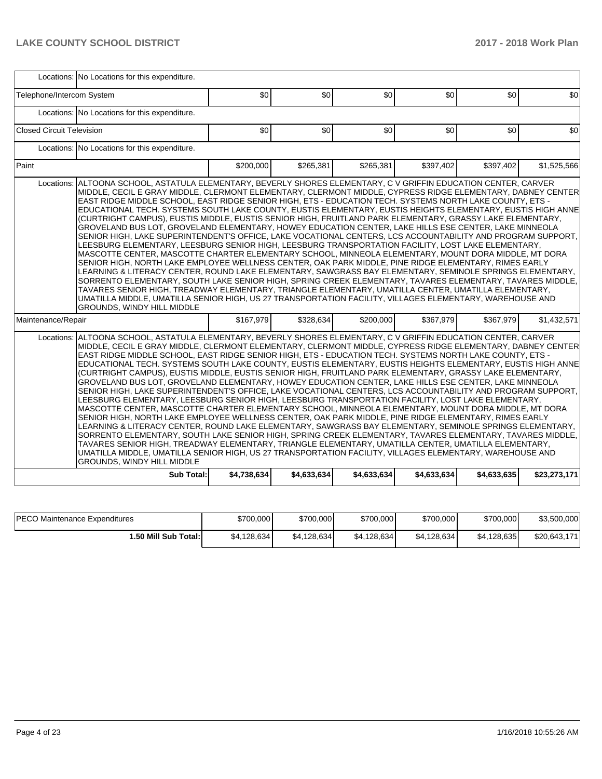|                                  | Locations: No Locations for this expenditure.                                                                                                                                                                                                                                                                                                                                                                                                                                                                                                                                                                                                                                                                                                                                                                                                                                                                                                                                                                                                                                                                                                                                                                                                                                                                                                                                                                                                                                                                                                                                                   |             |             |             |             |             |              |  |  |  |  |
|----------------------------------|-------------------------------------------------------------------------------------------------------------------------------------------------------------------------------------------------------------------------------------------------------------------------------------------------------------------------------------------------------------------------------------------------------------------------------------------------------------------------------------------------------------------------------------------------------------------------------------------------------------------------------------------------------------------------------------------------------------------------------------------------------------------------------------------------------------------------------------------------------------------------------------------------------------------------------------------------------------------------------------------------------------------------------------------------------------------------------------------------------------------------------------------------------------------------------------------------------------------------------------------------------------------------------------------------------------------------------------------------------------------------------------------------------------------------------------------------------------------------------------------------------------------------------------------------------------------------------------------------|-------------|-------------|-------------|-------------|-------------|--------------|--|--|--|--|
| Telephone/Intercom System        |                                                                                                                                                                                                                                                                                                                                                                                                                                                                                                                                                                                                                                                                                                                                                                                                                                                                                                                                                                                                                                                                                                                                                                                                                                                                                                                                                                                                                                                                                                                                                                                                 | \$0         | \$0         | \$0         | \$0         | \$0         | \$0          |  |  |  |  |
|                                  | Locations: No Locations for this expenditure.                                                                                                                                                                                                                                                                                                                                                                                                                                                                                                                                                                                                                                                                                                                                                                                                                                                                                                                                                                                                                                                                                                                                                                                                                                                                                                                                                                                                                                                                                                                                                   |             |             |             |             |             |              |  |  |  |  |
| <b>Closed Circuit Television</b> |                                                                                                                                                                                                                                                                                                                                                                                                                                                                                                                                                                                                                                                                                                                                                                                                                                                                                                                                                                                                                                                                                                                                                                                                                                                                                                                                                                                                                                                                                                                                                                                                 | \$0         | \$0         | \$0         | \$0         | \$0         | \$0          |  |  |  |  |
|                                  | Locations: No Locations for this expenditure.                                                                                                                                                                                                                                                                                                                                                                                                                                                                                                                                                                                                                                                                                                                                                                                                                                                                                                                                                                                                                                                                                                                                                                                                                                                                                                                                                                                                                                                                                                                                                   |             |             |             |             |             |              |  |  |  |  |
| Paint                            |                                                                                                                                                                                                                                                                                                                                                                                                                                                                                                                                                                                                                                                                                                                                                                                                                                                                                                                                                                                                                                                                                                                                                                                                                                                                                                                                                                                                                                                                                                                                                                                                 | \$200,000   | \$265,381   | \$265,381   | \$397,402   | \$397,402   | \$1,525,566  |  |  |  |  |
| Locations:                       | ALTOONA SCHOOL, ASTATULA ELEMENTARY, BEVERLY SHORES ELEMENTARY, C V GRIFFIN EDUCATION CENTER, CARVER<br>MIDDLE, CECIL E GRAY MIDDLE, CLERMONT ELEMENTARY, CLERMONT MIDDLE, CYPRESS RIDGE ELEMENTARY, DABNEY CENTER<br>EAST RIDGE MIDDLE SCHOOL, EAST RIDGE SENIOR HIGH, ETS - EDUCATION TECH. SYSTEMS NORTH LAKE COUNTY, ETS -<br>EDUCATIONAL TECH. SYSTEMS SOUTH LAKE COUNTY, EUSTIS ELEMENTARY, EUSTIS HEIGHTS ELEMENTARY, EUSTIS HIGH ANNE<br>(CURTRIGHT CAMPUS), EUSTIS MIDDLE, EUSTIS SENIOR HIGH, FRUITLAND PARK ELEMENTARY, GRASSY LAKE ELEMENTARY,<br>GROVELAND BUS LOT, GROVELAND ELEMENTARY, HOWEY EDUCATION CENTER, LAKE HILLS ESE CENTER, LAKE MINNEOLA<br>SENIOR HIGH, LAKE SUPERINTENDENT'S OFFICE, LAKE VOCATIONAL CENTERS, LCS ACCOUNTABILITY AND PROGRAM SUPPORT,<br>LEESBURG ELEMENTARY, LEESBURG SENIOR HIGH, LEESBURG TRANSPORTATION FACILITY, LOST LAKE ELEMENTARY,<br>MASCOTTE CENTER, MASCOTTE CHARTER ELEMENTARY SCHOOL, MINNEOLA ELEMENTARY, MOUNT DORA MIDDLE, MT DORA<br>SENIOR HIGH, NORTH LAKE EMPLOYEE WELLNESS CENTER, OAK PARK MIDDLE, PINE RIDGE ELEMENTARY, RIMES EARLY<br>LEARNING & LITERACY CENTER, ROUND LAKE ELEMENTARY, SAWGRASS BAY ELEMENTARY, SEMINOLE SPRINGS ELEMENTARY,<br>SORRENTO ELEMENTARY, SOUTH LAKE SENIOR HIGH, SPRING CREEK ELEMENTARY, TAVARES ELEMENTARY, TAVARES MIDDLE,<br>TAVARES SENIOR HIGH, TREADWAY ELEMENTARY, TRIANGLE ELEMENTARY, UMATILLA CENTER, UMATILLA ELEMENTARY,<br>UMATILLA MIDDLE, UMATILLA SENIOR HIGH, US 27 TRANSPORTATION FACILITY, VILLAGES ELEMENTARY, WAREHOUSE AND<br>GROUNDS, WINDY HILL MIDDLE            |             |             |             |             |             |              |  |  |  |  |
| Maintenance/Repair               |                                                                                                                                                                                                                                                                                                                                                                                                                                                                                                                                                                                                                                                                                                                                                                                                                                                                                                                                                                                                                                                                                                                                                                                                                                                                                                                                                                                                                                                                                                                                                                                                 | \$167.979   | \$328.634   | \$200,000   | \$367,979   | \$367,979   | \$1,432,571  |  |  |  |  |
|                                  | Locations: ALTOONA SCHOOL, ASTATULA ELEMENTARY, BEVERLY SHORES ELEMENTARY, C V GRIFFIN EDUCATION CENTER, CARVER<br>MIDDLE, CECIL E GRAY MIDDLE, CLERMONT ELEMENTARY, CLERMONT MIDDLE, CYPRESS RIDGE ELEMENTARY, DABNEY CENTER<br>EAST RIDGE MIDDLE SCHOOL, EAST RIDGE SENIOR HIGH, ETS - EDUCATION TECH. SYSTEMS NORTH LAKE COUNTY, ETS -<br>EDUCATIONAL TECH. SYSTEMS SOUTH LAKE COUNTY, EUSTIS ELEMENTARY, EUSTIS HEIGHTS ELEMENTARY, EUSTIS HIGH ANNE<br>(CURTRIGHT CAMPUS), EUSTIS MIDDLE, EUSTIS SENIOR HIGH, FRUITLAND PARK ELEMENTARY, GRASSY LAKE ELEMENTARY,<br>GROVELAND BUS LOT, GROVELAND ELEMENTARY, HOWEY EDUCATION CENTER, LAKE HILLS ESE CENTER, LAKE MINNEOLA<br>SENIOR HIGH, LAKE SUPERINTENDENT'S OFFICE, LAKE VOCATIONAL CENTERS, LCS ACCOUNTABILITY AND PROGRAM SUPPORT,<br>LEESBURG ELEMENTARY, LEESBURG SENIOR HIGH, LEESBURG TRANSPORTATION FACILITY, LOST LAKE ELEMENTARY,<br>MASCOTTE CENTER, MASCOTTE CHARTER ELEMENTARY SCHOOL, MINNEOLA ELEMENTARY, MOUNT DORA MIDDLE, MT DORA<br>SENIOR HIGH, NORTH LAKE EMPLOYEE WELLNESS CENTER, OAK PARK MIDDLE, PINE RIDGE ELEMENTARY, RIMES EARLY<br>LEARNING & LITERACY CENTER, ROUND LAKE ELEMENTARY, SAWGRASS BAY ELEMENTARY, SEMINOLE SPRINGS ELEMENTARY,<br>SORRENTO ELEMENTARY, SOUTH LAKE SENIOR HIGH, SPRING CREEK ELEMENTARY, TAVARES ELEMENTARY, TAVARES MIDDLE,<br>TAVARES SENIOR HIGH, TREADWAY ELEMENTARY, TRIANGLE ELEMENTARY, UMATILLA CENTER, UMATILLA ELEMENTARY,<br>UMATILLA MIDDLE, UMATILLA SENIOR HIGH, US 27 TRANSPORTATION FACILITY, VILLAGES ELEMENTARY, WAREHOUSE AND<br>GROUNDS, WINDY HILL MIDDLE |             |             |             |             |             |              |  |  |  |  |
|                                  | <b>Sub Total:</b>                                                                                                                                                                                                                                                                                                                                                                                                                                                                                                                                                                                                                                                                                                                                                                                                                                                                                                                                                                                                                                                                                                                                                                                                                                                                                                                                                                                                                                                                                                                                                                               | \$4,738,634 | \$4,633,634 | \$4,633,634 | \$4,633,634 | \$4,633,635 | \$23,273,171 |  |  |  |  |

| <b>IPECO Maintenance Expenditures</b> | \$700,000    | \$700,000   | \$700,000    | \$700,000    | \$700,000   | \$3,500,000  |
|---------------------------------------|--------------|-------------|--------------|--------------|-------------|--------------|
| 50 Mill Sub Total: I                  | \$4,128,634] | \$4.128.634 | \$4,128,634] | \$4,128,634] | \$4,128,635 | \$20,643.171 |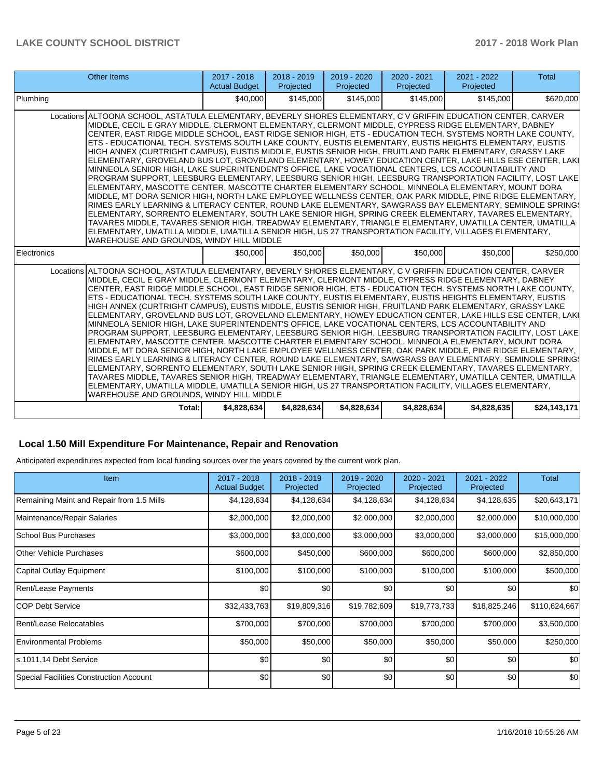| <b>Other Items</b>                                                                                                                                                                                                                                                                                                                                                                                                                                                                                                                                                                                                                                                                                                                                                                                                                                                                                                                                                                                                                                                                                                                                                                                                                                                                                                                                                                                                                                                                                                                                                                                 | 2017 - 2018<br><b>Actual Budget</b> | $2018 - 2019$<br>Projected | 2019 - 2020<br>Projected | $2020 - 2021$<br>Projected | 2021 - 2022<br>Projected | <b>Total</b> |  |  |
|----------------------------------------------------------------------------------------------------------------------------------------------------------------------------------------------------------------------------------------------------------------------------------------------------------------------------------------------------------------------------------------------------------------------------------------------------------------------------------------------------------------------------------------------------------------------------------------------------------------------------------------------------------------------------------------------------------------------------------------------------------------------------------------------------------------------------------------------------------------------------------------------------------------------------------------------------------------------------------------------------------------------------------------------------------------------------------------------------------------------------------------------------------------------------------------------------------------------------------------------------------------------------------------------------------------------------------------------------------------------------------------------------------------------------------------------------------------------------------------------------------------------------------------------------------------------------------------------------|-------------------------------------|----------------------------|--------------------------|----------------------------|--------------------------|--------------|--|--|
| Plumbing                                                                                                                                                                                                                                                                                                                                                                                                                                                                                                                                                                                                                                                                                                                                                                                                                                                                                                                                                                                                                                                                                                                                                                                                                                                                                                                                                                                                                                                                                                                                                                                           | \$40,000                            | \$145,000                  | \$145,000                | \$145,000                  | \$145,000                | \$620,000    |  |  |
| Locations ALTOONA SCHOOL, ASTATULA ELEMENTARY, BEVERLY SHORES ELEMENTARY, C V GRIFFIN EDUCATION CENTER, CARVER<br>MIDDLE, CECIL E GRAY MIDDLE, CLERMONT ELEMENTARY, CLERMONT MIDDLE, CYPRESS RIDGE ELEMENTARY, DABNEY<br>CENTER, EAST RIDGE MIDDLE SCHOOL, EAST RIDGE SENIOR HIGH, ETS - EDUCATION TECH. SYSTEMS NORTH LAKE COUNTY,<br>ETS - EDUCATIONAL TECH. SYSTEMS SOUTH LAKE COUNTY, EUSTIS ELEMENTARY, EUSTIS HEIGHTS ELEMENTARY, EUSTIS<br>HIGH ANNEX (CURTRIGHT CAMPUS), EUSTIS MIDDLE, EUSTIS SENIOR HIGH, FRUITLAND PARK ELEMENTARY, GRASSY LAKE<br> ELEMENTARY, GROVELAND BUS LOT, GROVELAND ELEMENTARY, HOWEY EDUCATION CENTER, LAKE HILLS ESE CENTER, LAKI<br>MINNEOLA SENIOR HIGH, LAKE SUPERINTENDENT'S OFFICE, LAKE VOCATIONAL CENTERS, LCS ACCOUNTABILITY AND<br>PROGRAM SUPPORT, LEESBURG ELEMENTARY, LEESBURG SENIOR HIGH, LEESBURG TRANSPORTATION FACILITY, LOST LAKE<br>ELEMENTARY, MASCOTTE CENTER, MASCOTTE CHARTER ELEMENTARY SCHOOL, MINNEOLA ELEMENTARY, MOUNT DORA<br>MIDDLE, MT DORA SENIOR HIGH, NORTH LAKE EMPLOYEE WELLNESS CENTER, OAK PARK MIDDLE, PINE RIDGE ELEMENTARY,<br>RIMES EARLY LEARNING & LITERACY CENTER, ROUND LAKE ELEMENTARY, SAWGRASS BAY ELEMENTARY, SEMINOLE SPRING:<br>ELEMENTARY, SORRENTO ELEMENTARY, SOUTH LAKE SENIOR HIGH, SPRING CREEK ELEMENTARY, TAVARES ELEMENTARY,<br>TAVARES MIDDLE, TAVARES SENIOR HIGH, TREADWAY ELEMENTARY, TRIANGLE ELEMENTARY, UMATILLA CENTER, UMATILLA<br>ELEMENTARY, UMATILLA MIDDLE, UMATILLA SENIOR HIGH, US 27 TRANSPORTATION FACILITY, VILLAGES ELEMENTARY,<br>WAREHOUSE AND GROUNDS, WINDY HILL MIDDLE  |                                     |                            |                          |                            |                          |              |  |  |
| Electronics                                                                                                                                                                                                                                                                                                                                                                                                                                                                                                                                                                                                                                                                                                                                                                                                                                                                                                                                                                                                                                                                                                                                                                                                                                                                                                                                                                                                                                                                                                                                                                                        | \$50,000                            | \$50,000                   | \$50,000                 | \$50,000                   | \$50,000                 | \$250,000    |  |  |
| Locations ALTOONA SCHOOL, ASTATULA ELEMENTARY, BEVERLY SHORES ELEMENTARY, C V GRIFFIN EDUCATION CENTER, CARVER<br>MIDDLE, CECIL E GRAY MIDDLE, CLERMONT ELEMENTARY, CLERMONT MIDDLE, CYPRESS RIDGE ELEMENTARY, DABNEY<br>CENTER, EAST RIDGE MIDDLE SCHOOL, EAST RIDGE SENIOR HIGH, ETS - EDUCATION TECH. SYSTEMS NORTH LAKE COUNTY,<br>ETS - EDUCATIONAL TECH. SYSTEMS SOUTH LAKE COUNTY, EUSTIS ELEMENTARY, EUSTIS HEIGHTS ELEMENTARY, EUSTIS<br>HIGH ANNEX (CURTRIGHT CAMPUS), EUSTIS MIDDLE, EUSTIS SENIOR HIGH, FRUITLAND PARK ELEMENTARY, GRASSY LAKE<br> ELEMENTARY, GROVELAND BUS LOT, GROVELAND ELEMENTARY, HOWEY EDUCATION CENTER, LAKE HILLS ESE CENTER, LAKI<br>MINNEOLA SENIOR HIGH, LAKE SUPERINTENDENT'S OFFICE, LAKE VOCATIONAL CENTERS, LCS ACCOUNTABILITY AND<br>PROGRAM SUPPORT, LEESBURG ELEMENTARY, LEESBURG SENIOR HIGH, LEESBURG TRANSPORTATION FACILITY, LOST LAKE<br>IELEMENTARY. MASCOTTE CENTER. MASCOTTE CHARTER ELEMENTARY SCHOOL. MINNEOLA ELEMENTARY. MOUNT DORA<br>MIDDLE, MT DORA SENIOR HIGH, NORTH LAKE EMPLOYEE WELLNESS CENTER, OAK PARK MIDDLE, PINE RIDGE ELEMENTARY,<br>RIMES EARLY LEARNING & LITERACY CENTER, ROUND LAKE ELEMENTARY, SAWGRASS BAY ELEMENTARY, SEMINOLE SPRING!<br>ELEMENTARY, SORRENTO ELEMENTARY, SOUTH LAKE SENIOR HIGH, SPRING CREEK ELEMENTARY, TAVARES ELEMENTARY,<br>TAVARES MIDDLE, TAVARES SENIOR HIGH, TREADWAY ELEMENTARY, TRIANGLE ELEMENTARY, UMATILLA CENTER, UMATILLA<br>ELEMENTARY, UMATILLA MIDDLE, UMATILLA SENIOR HIGH, US 27 TRANSPORTATION FACILITY, VILLAGES ELEMENTARY,<br>WAREHOUSE AND GROUNDS. WINDY HILL MIDDLE |                                     |                            |                          |                            |                          |              |  |  |
| Total:                                                                                                                                                                                                                                                                                                                                                                                                                                                                                                                                                                                                                                                                                                                                                                                                                                                                                                                                                                                                                                                                                                                                                                                                                                                                                                                                                                                                                                                                                                                                                                                             | \$4,828,634                         | \$4,828,634                | \$4,828,634              | \$4,828,634                | \$4,828,635              | \$24,143,171 |  |  |

# **Local 1.50 Mill Expenditure For Maintenance, Repair and Renovation**

Anticipated expenditures expected from local funding sources over the years covered by the current work plan.

| Item                                      | 2017 - 2018<br><b>Actual Budget</b> | 2018 - 2019<br>Projected | 2019 - 2020<br>Projected | 2020 - 2021<br>Projected | 2021 - 2022<br>Projected | <b>Total</b>  |
|-------------------------------------------|-------------------------------------|--------------------------|--------------------------|--------------------------|--------------------------|---------------|
| Remaining Maint and Repair from 1.5 Mills | \$4,128,634                         | \$4,128,634              | \$4,128,634              | \$4,128,634              | \$4,128,635              | \$20,643,171  |
| Maintenance/Repair Salaries               | \$2,000,000                         | \$2,000,000              | \$2,000,000              | \$2,000,000              | \$2,000,000              | \$10,000,000  |
| School Bus Purchases                      | \$3,000,000                         | \$3,000,000              | \$3,000,000              | \$3,000,000              | \$3,000,000              | \$15,000,000  |
| <b>Other Vehicle Purchases</b>            | \$600,000                           | \$450,000                | \$600,000                | \$600,000                | \$600,000                | \$2,850,000   |
| Capital Outlay Equipment                  | \$100,000                           | \$100,000                | \$100,000                | \$100,000                | \$100,000                | \$500,000     |
| Rent/Lease Payments                       | \$0                                 | \$0                      | \$0                      | \$0                      | \$0                      | \$0           |
| ICOP Debt Service                         | \$32,433,763                        | \$19,809,316             | \$19,782,609             | \$19,773,733             | \$18,825,246             | \$110,624,667 |
| Rent/Lease Relocatables                   | \$700,000                           | \$700,000                | \$700,000                | \$700,000                | \$700,000                | \$3,500,000   |
| <b>Environmental Problems</b>             | \$50,000                            | \$50,000                 | \$50,000                 | \$50,000                 | \$50,000                 | \$250,000     |
| ls.1011.14 Debt Service                   | \$0                                 | \$0                      | \$0                      | \$0                      | \$0                      | \$0           |
| Special Facilities Construction Account   | \$0                                 | \$0                      | \$0                      | \$0                      | \$0                      | \$0           |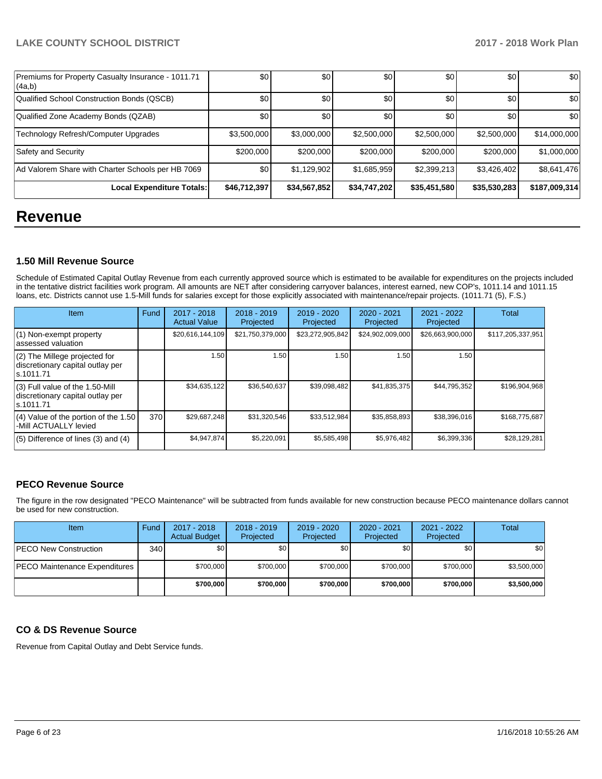| Premiums for Property Casualty Insurance - 1011.71<br> (4a,b) | \$0              | \$0          | \$0          | \$0          | \$0          | \$0           |
|---------------------------------------------------------------|------------------|--------------|--------------|--------------|--------------|---------------|
| Qualified School Construction Bonds (QSCB)                    | \$0              | \$0          | \$0          | \$0          | \$0          | \$0           |
| Qualified Zone Academy Bonds (QZAB)                           | \$0              | \$0          | \$0          | \$0          | \$0          | \$0           |
| Technology Refresh/Computer Upgrades                          | \$3,500,000      | \$3,000,000  | \$2,500,000  | \$2,500,000  | \$2,500,000  | \$14,000,000  |
| Safety and Security                                           | \$200,000        | \$200,000    | \$200,000    | \$200,000    | \$200,000    | \$1,000,000   |
| Ad Valorem Share with Charter Schools per HB 7069             | \$0 <sub>1</sub> | \$1,129,902  | \$1,685,959  | \$2,399,213  | \$3,426,402  | \$8,641,476   |
| Local Expenditure Totals:                                     | \$46,712,397     | \$34,567,852 | \$34,747,202 | \$35,451,580 | \$35,530,283 | \$187,009,314 |

# **Revenue**

# **1.50 Mill Revenue Source**

Schedule of Estimated Capital Outlay Revenue from each currently approved source which is estimated to be available for expenditures on the projects included in the tentative district facilities work program. All amounts are NET after considering carryover balances, interest earned, new COP's, 1011.14 and 1011.15 loans, etc. Districts cannot use 1.5-Mill funds for salaries except for those explicitly associated with maintenance/repair projects. (1011.71 (5), F.S.)

| Item                                                                                | Fund | 2017 - 2018<br><b>Actual Value</b> | $2018 - 2019$<br>Projected | $2019 - 2020$<br>Projected | $2020 - 2021$<br>Projected | 2021 - 2022<br>Projected | <b>Total</b>      |
|-------------------------------------------------------------------------------------|------|------------------------------------|----------------------------|----------------------------|----------------------------|--------------------------|-------------------|
| $(1)$ Non-exempt property<br>lassessed valuation                                    |      | \$20,616,144,109                   | \$21,750,379,000           | \$23,272,905,842           | \$24,902,009,000           | \$26,663,900,000         | \$117,205,337,951 |
| $(2)$ The Millege projected for<br>discretionary capital outlay per<br>ls.1011.71   |      | 1.50                               | 1.50                       | 1.50                       | 1.50                       | 1.50                     |                   |
| $(3)$ Full value of the 1.50-Mill<br>discretionary capital outlay per<br>ls.1011.71 |      | \$34,635,122                       | \$36,540,637               | \$39,098,482               | \$41,835,375               | \$44,795,352             | \$196,904,968     |
| $(4)$ Value of the portion of the 1.50<br>-Mill ACTUALLY levied                     | 370  | \$29,687,248                       | \$31,320,546               | \$33,512,984               | \$35,858,893               | \$38,396,016             | \$168,775,687     |
| $(5)$ Difference of lines $(3)$ and $(4)$                                           |      | \$4,947,874                        | \$5,220,091                | \$5,585,498                | \$5,976,482                | \$6,399,336              | \$28,129,281      |

# **PECO Revenue Source**

The figure in the row designated "PECO Maintenance" will be subtracted from funds available for new construction because PECO maintenance dollars cannot be used for new construction.

| Item                                 | Fund         | $2017 - 2018$<br><b>Actual Budget</b> | $2018 - 2019$<br>Projected | $2019 - 2020$<br>Projected | $2020 - 2021$<br>Projected | 2021 - 2022<br>Projected | Total       |
|--------------------------------------|--------------|---------------------------------------|----------------------------|----------------------------|----------------------------|--------------------------|-------------|
| <b>PECO New Construction</b>         | 340 <b>I</b> | \$0                                   | \$0                        | \$0                        | \$0 <sub>1</sub>           | \$0                      | \$0         |
| <b>PECO Maintenance Expenditures</b> |              | \$700,000                             | \$700,000                  | \$700,000                  | \$700,000                  | \$700.000                | \$3,500,000 |
|                                      |              | \$700,000                             | \$700,000                  | \$700,000                  | \$700,000                  | \$700,000                | \$3,500,000 |

## **CO & DS Revenue Source**

Revenue from Capital Outlay and Debt Service funds.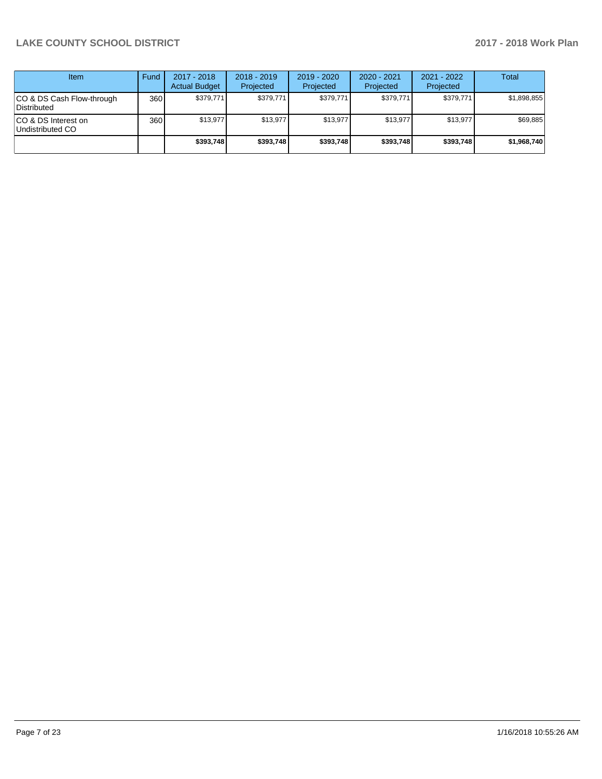| <b>Item</b>                               | Fund | 2017 - 2018<br><b>Actual Budget</b> | $2018 - 2019$<br>Projected | 2019 - 2020<br>Projected | 2020 - 2021<br>Projected | 2021 - 2022<br>Projected | <b>Total</b> |
|-------------------------------------------|------|-------------------------------------|----------------------------|--------------------------|--------------------------|--------------------------|--------------|
| ICO & DS Cash Flow-through<br>Distributed | 360  | \$379.771                           | \$379,771                  | \$379.771                | \$379,771                | \$379.771                | \$1,898,855  |
| ICO & DS Interest on<br>Undistributed CO  | 360  | \$13.977                            | \$13.977                   | \$13.977                 | \$13.977                 | \$13.977                 | \$69,885     |
|                                           |      | \$393,748                           | \$393,748                  | \$393.748                | \$393.748                | \$393.748                | \$1,968,740  |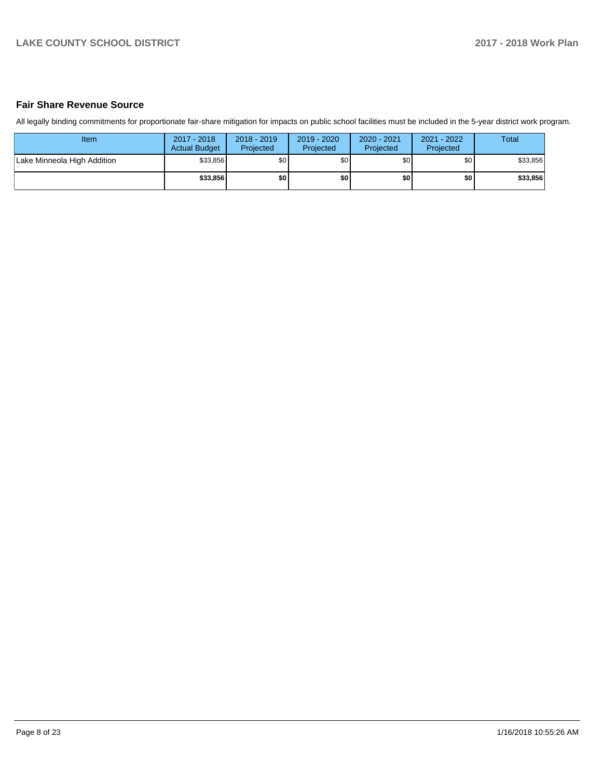## **Fair Share Revenue Source**

All legally binding commitments for proportionate fair-share mitigation for impacts on public school facilities must be included in the 5-year district work program.

| Item                        | 2017 - 2018<br><b>Actual Budget</b> | $2018 - 2019$<br>Projected | 2019 - 2020<br>Projected | 2020 - 2021<br>Projected | 2021 - 2022<br><b>Projected</b> | Total    |
|-----------------------------|-------------------------------------|----------------------------|--------------------------|--------------------------|---------------------------------|----------|
| Lake Minneola High Addition | \$33.856                            | \$0                        | \$0                      | \$0 <sub>1</sub>         | \$0                             | \$33,856 |
|                             | \$33.856                            | \$0                        | \$0                      | \$0                      | \$0                             | \$33,856 |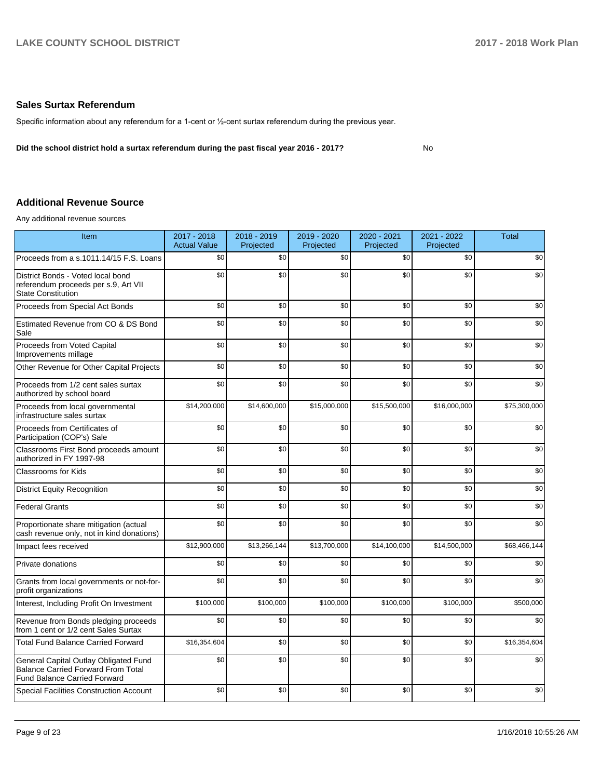### **Sales Surtax Referendum**

Specific information about any referendum for a 1-cent or 1/2-cent surtax referendum during the previous year.

**Did the school district hold a surtax referendum during the past fiscal year 2016 - 2017?**

No

# **Additional Revenue Source**

Any additional revenue sources

| Item                                                                                                                      | 2017 - 2018<br><b>Actual Value</b> | 2018 - 2019<br>Projected | 2019 - 2020<br>Projected | 2020 - 2021<br>Projected | 2021 - 2022<br>Projected | <b>Total</b> |
|---------------------------------------------------------------------------------------------------------------------------|------------------------------------|--------------------------|--------------------------|--------------------------|--------------------------|--------------|
| Proceeds from a s.1011.14/15 F.S. Loans                                                                                   | \$0                                | \$0                      | \$0                      | \$0                      | \$0                      | \$0          |
| District Bonds - Voted local bond<br>referendum proceeds per s.9, Art VII<br><b>State Constitution</b>                    | \$0                                | \$0                      | \$0                      | \$0                      | \$0                      | \$0          |
| Proceeds from Special Act Bonds                                                                                           | \$0                                | \$0                      | \$0                      | \$0                      | \$0                      | \$0          |
| Estimated Revenue from CO & DS Bond<br>Sale                                                                               | \$0                                | \$0                      | \$0                      | \$0                      | \$0                      | \$0          |
| Proceeds from Voted Capital<br>Improvements millage                                                                       | \$0                                | \$0                      | \$0                      | \$0                      | \$0                      | \$0          |
| Other Revenue for Other Capital Projects                                                                                  | \$0                                | \$0                      | \$0                      | \$0                      | \$0                      | \$0          |
| Proceeds from 1/2 cent sales surtax<br>authorized by school board                                                         | \$0                                | \$0                      | \$0                      | \$0                      | \$0                      | \$0          |
| Proceeds from local governmental<br>infrastructure sales surtax                                                           | \$14,200,000                       | \$14,600,000             | \$15,000,000             | \$15,500,000             | \$16,000,000             | \$75,300,000 |
| Proceeds from Certificates of<br>Participation (COP's) Sale                                                               | \$0                                | \$0                      | \$0                      | \$0                      | \$0                      | \$0          |
| Classrooms First Bond proceeds amount<br>authorized in FY 1997-98                                                         | \$0                                | \$0                      | \$0                      | \$0                      | \$0                      | \$0          |
| <b>Classrooms for Kids</b>                                                                                                | \$0                                | \$0                      | \$0                      | \$0                      | \$0                      | \$0          |
| <b>District Equity Recognition</b>                                                                                        | \$0                                | \$0                      | \$0                      | \$0                      | \$0                      | \$0          |
| <b>Federal Grants</b>                                                                                                     | \$0                                | \$0                      | \$0                      | \$0                      | \$0                      | \$0          |
| Proportionate share mitigation (actual<br>cash revenue only, not in kind donations)                                       | \$0                                | \$0                      | \$0                      | \$0                      | \$0                      | \$0          |
| Impact fees received                                                                                                      | \$12,900,000                       | \$13,266,144             | \$13,700,000             | \$14,100,000             | \$14,500,000             | \$68,466,144 |
| Private donations                                                                                                         | \$0                                | \$0                      | \$0                      | \$0                      | \$0                      | \$0          |
| Grants from local governments or not-for-<br>profit organizations                                                         | \$0                                | \$0                      | \$0                      | \$0                      | \$0                      | \$0          |
| Interest, Including Profit On Investment                                                                                  | \$100,000                          | \$100,000                | \$100,000                | \$100,000                | \$100,000                | \$500,000    |
| Revenue from Bonds pledging proceeds<br>from 1 cent or 1/2 cent Sales Surtax                                              | \$0                                | \$0                      | \$0                      | \$0                      | \$0                      | \$0          |
| <b>Total Fund Balance Carried Forward</b>                                                                                 | \$16,354,604                       | \$0                      | \$0                      | \$0                      | \$0                      | \$16,354,604 |
| General Capital Outlay Obligated Fund<br><b>Balance Carried Forward From Total</b><br><b>Fund Balance Carried Forward</b> | \$0                                | \$0                      | \$0                      | \$0                      | \$0                      | \$0          |
| <b>Special Facilities Construction Account</b>                                                                            | \$0                                | \$0                      | \$0                      | \$0                      | \$0                      | \$0          |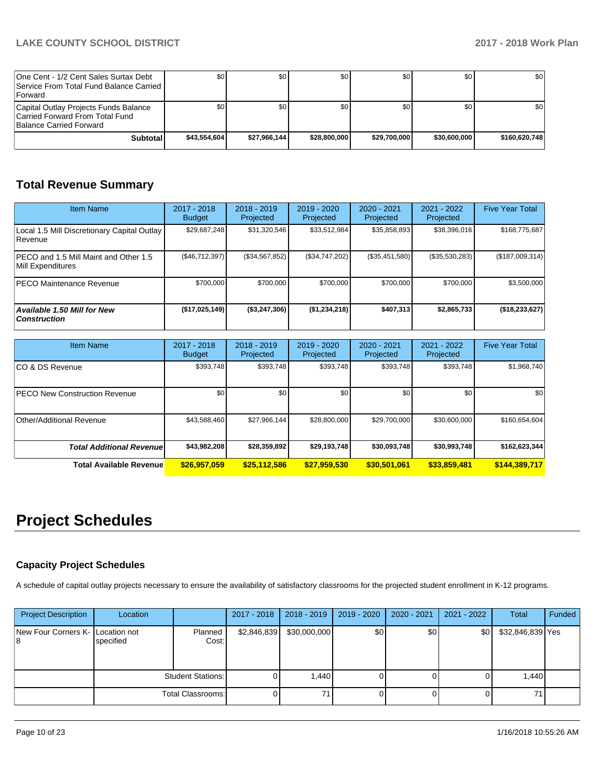| One Cent - 1/2 Cent Sales Surtax Debt<br>Service From Total Fund Balance Carried I<br><b>IForward</b> | \$0 I        | \$0 <sub>1</sub> | \$0          | \$0 <sub>1</sub> | \$0          | \$0              |
|-------------------------------------------------------------------------------------------------------|--------------|------------------|--------------|------------------|--------------|------------------|
| Capital Outlay Projects Funds Balance<br>Carried Forward From Total Fund<br>Balance Carried Forward   | \$0          | \$0              | \$0          | \$0 <sub>1</sub> | \$0          | \$0 <sub>1</sub> |
| <b>Subtotal</b>                                                                                       | \$43,554,604 | \$27.966.144     | \$28,800,000 | \$29.700.000     | \$30,600,000 | \$160,620,748    |

# **Total Revenue Summary**

| <b>Item Name</b>                                            | 2017 - 2018<br><b>Budget</b> | $2018 - 2019$<br>Projected | 2019 - 2020<br>Projected | $2020 - 2021$<br>Projected | 2021 - 2022<br>Projected | <b>Five Year Total</b> |
|-------------------------------------------------------------|------------------------------|----------------------------|--------------------------|----------------------------|--------------------------|------------------------|
| Local 1.5 Mill Discretionary Capital Outlay<br>Revenue      | \$29,687,248                 | \$31,320,546               | \$33,512,984             | \$35,858,893               | \$38,396,016             | \$168,775,687          |
| IPECO and 1.5 Mill Maint and Other 1.5<br>Mill Expenditures | (S46, 712, 397)              | (\$34,567,852)             | (\$34,747,202)           | (\$35,451,580)             | (\$35,530,283)           | (\$187,009,314)        |
| <b>PECO Maintenance Revenue</b>                             | \$700,000                    | \$700.000                  | \$700,000                | \$700,000                  | \$700,000                | \$3,500,000            |
| Available 1.50 Mill for New<br><b>Construction</b>          | ( \$17,025,149]              | (\$3,247,306)              | (\$1,234,218)            | \$407,313                  | \$2,865,733              | ( \$18, 233, 627]      |

| <b>Item Name</b>                      | $2017 - 2018$<br><b>Budget</b> | $2018 - 2019$<br>Projected | $2019 - 2020$<br>Projected | 2020 - 2021<br>Projected | 2021 - 2022<br>Projected | <b>Five Year Total</b> |
|---------------------------------------|--------------------------------|----------------------------|----------------------------|--------------------------|--------------------------|------------------------|
| ICO & DS Revenue                      | \$393,748                      | \$393,748                  | \$393,748                  | \$393,748                | \$393,748                | \$1,968,740            |
| <b>IPECO New Construction Revenue</b> | \$0                            | \$0 <sub>1</sub>           | \$0                        | \$0                      | \$0                      | \$0                    |
| Other/Additional Revenue              | \$43,588,460                   | \$27,966,144               | \$28,800,000               | \$29,700,000             | \$30,600,000             | \$160,654,604          |
| <b>Total Additional Revenuel</b>      | \$43,982,208                   | \$28,359,892               | \$29,193,748               | \$30,093,748             | \$30,993,748             | \$162,623,344          |
| <b>Total Available Revenue</b>        | \$26,957,059                   | \$25,112,586               | \$27,959,530               | \$30,501,061             | \$33,859,481             | \$144,389,717          |

# **Project Schedules**

## **Capacity Project Schedules**

A schedule of capital outlay projects necessary to ensure the availability of satisfactory classrooms for the projected student enrollment in K-12 programs.

| <b>Project Description</b>       | Location  |                          | 2017 - 2018 | 2018 - 2019  | 2019 - 2020 | $2020 - 2021$ | 2021 - 2022 | Total            | Funded |
|----------------------------------|-----------|--------------------------|-------------|--------------|-------------|---------------|-------------|------------------|--------|
| New Four Corners K- Location not | specified | Planned<br>Cost:         | \$2,846,839 | \$30,000,000 | \$0         | \$0           | \$0         | \$32,846,839 Yes |        |
|                                  |           | <b>Student Stations:</b> |             | 1,440        |             |               |             | 1,440            |        |
|                                  |           | <b>Total Classrooms:</b> |             | 71           |             |               |             |                  |        |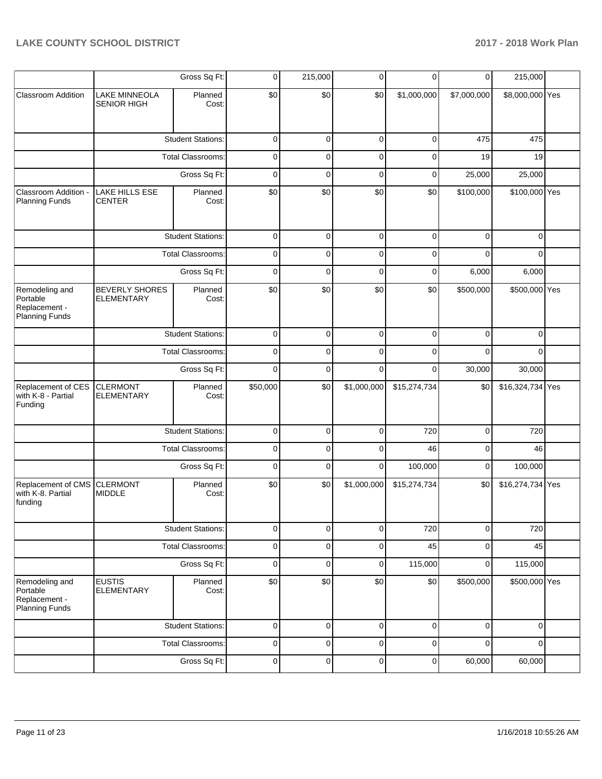|                                                               |                                            | Gross Sq Ft:             | 0           | 215,000     | 0           | 0            | 0           | 215,000          |  |
|---------------------------------------------------------------|--------------------------------------------|--------------------------|-------------|-------------|-------------|--------------|-------------|------------------|--|
| <b>Classroom Addition</b>                                     | <b>LAKE MINNEOLA</b><br><b>SENIOR HIGH</b> | Planned<br>Cost:         | \$0         | \$0         | \$0         | \$1,000,000  | \$7,000,000 | \$8,000,000 Yes  |  |
|                                                               |                                            | <b>Student Stations:</b> | $\mathbf 0$ | 0           | $\mathbf 0$ | 0            | 475         | 475              |  |
|                                                               |                                            | <b>Total Classrooms:</b> | $\mathbf 0$ | 0           | 0           | 0            | 19          | 19               |  |
|                                                               |                                            | Gross Sq Ft:             | $\mathbf 0$ | 0           | 0           | 0            | 25,000      | 25,000           |  |
| Classroom Addition -<br><b>Planning Funds</b>                 | <b>LAKE HILLS ESE</b><br>CENTER            | Planned<br>Cost:         | \$0         | \$0         | \$0         | \$0          | \$100,000   | \$100,000 Yes    |  |
|                                                               |                                            | <b>Student Stations:</b> | $\mathbf 0$ | 0           | 0           | 0            | $\mathbf 0$ | 0                |  |
|                                                               |                                            | <b>Total Classrooms:</b> | $\mathbf 0$ | 0           | 0           | 0            | $\Omega$    | $\Omega$         |  |
|                                                               |                                            | Gross Sq Ft:             | $\mathbf 0$ | 0           | 0           | 0            | 6,000       | 6,000            |  |
| Remodeling and<br>Portable<br>Replacement -<br>Planning Funds | <b>BEVERLY SHORES</b><br><b>ELEMENTARY</b> | Planned<br>Cost:         | \$0         | \$0         | \$0         | \$0          | \$500,000   | \$500,000 Yes    |  |
|                                                               |                                            | <b>Student Stations:</b> | $\mathbf 0$ | $\mathbf 0$ | $\mathbf 0$ | $\Omega$     | $\Omega$    | $\Omega$         |  |
|                                                               |                                            | <b>Total Classrooms:</b> | $\mathbf 0$ | 0           | $\Omega$    | $\Omega$     | $\Omega$    | $\Omega$         |  |
|                                                               |                                            | Gross Sq Ft:             | $\Omega$    | $\Omega$    | $\Omega$    | 0            | 30,000      | 30,000           |  |
| Replacement of CES<br>with K-8 - Partial<br>Funding           | <b>CLERMONT</b><br><b>ELEMENTARY</b>       | Planned<br>Cost:         | \$50,000    | \$0         | \$1,000,000 | \$15,274,734 | \$0         | \$16,324,734 Yes |  |
|                                                               |                                            | <b>Student Stations:</b> | $\mathbf 0$ | $\Omega$    | $\Omega$    | 720          | $\mathbf 0$ | 720              |  |
|                                                               |                                            | <b>Total Classrooms:</b> | $\mathbf 0$ | 0           | 0           | 46           | $\mathbf 0$ | 46               |  |
|                                                               |                                            | Gross Sq Ft:             | $\mathbf 0$ | $\Omega$    | $\Omega$    | 100,000      | $\mathbf 0$ | 100,000          |  |
| Replacement of CMS<br>with K-8. Partial<br>funding            | <b>CLERMONT</b><br><b>MIDDLE</b>           | Planned<br>Cost:         | \$0         | \$0         | \$1,000,000 | \$15,274,734 | \$0         | \$16,274,734 Yes |  |
|                                                               |                                            | <b>Student Stations:</b> | $\mathbf 0$ | 0           | $\mathbf 0$ | 720          | 0           | 720              |  |
|                                                               |                                            | <b>Total Classrooms:</b> | $\mathbf 0$ | 0           | $\mathbf 0$ | 45           | 0           | 45               |  |
|                                                               |                                            | Gross Sq Ft:             | $\mathbf 0$ | $\mathbf 0$ | 0           | 115,000      | 0           | 115,000          |  |
| Remodeling and<br>Portable<br>Replacement -<br>Planning Funds | <b>EUSTIS</b><br><b>ELEMENTARY</b>         | Planned<br>Cost:         | \$0         | \$0         | \$0         | \$0          | \$500,000   | \$500,000 Yes    |  |
|                                                               |                                            | <b>Student Stations:</b> | $\mathbf 0$ | 0           | $\mathbf 0$ | 0            | 0           | 0                |  |
|                                                               |                                            | <b>Total Classrooms:</b> | $\mathbf 0$ | $\mathbf 0$ | $\mathbf 0$ | 0            | $\Omega$    | $\Omega$         |  |
|                                                               |                                            | Gross Sq Ft:             | $\mathsf 0$ | 0           | 0           | 0            | 60,000      | 60,000           |  |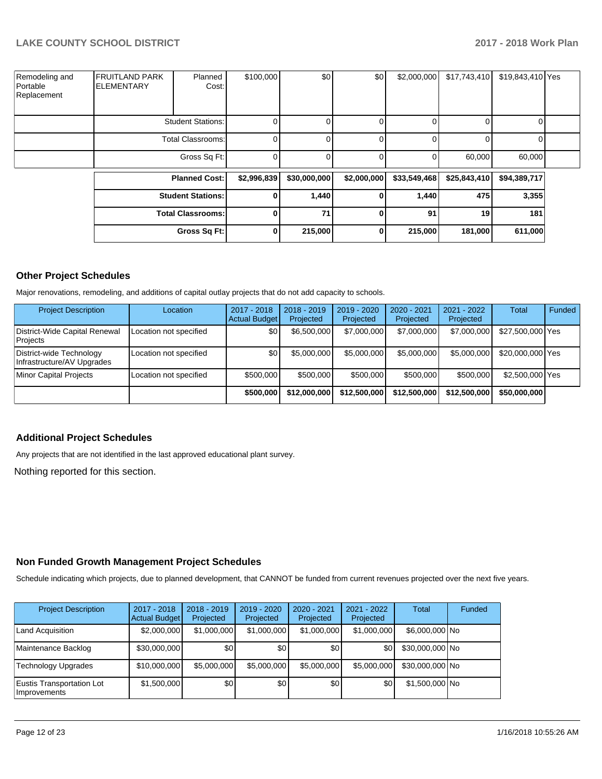| Remodeling and<br>Portable<br>Replacement | <b>IFRUITLAND PARK</b><br><b>ELEMENTARY</b> | Planned<br>Cost:         | \$100,000   | \$0          | \$0          | \$2,000,000  | \$17,743,410 | \$19,843,410 Yes |  |
|-------------------------------------------|---------------------------------------------|--------------------------|-------------|--------------|--------------|--------------|--------------|------------------|--|
|                                           |                                             | <b>Student Stations:</b> |             |              | 0            |              |              |                  |  |
|                                           |                                             | <b>Total Classrooms:</b> |             |              | 0            | 0            |              |                  |  |
|                                           |                                             | Gross Sq Ft:             |             |              | 0            | 0            | 60,000       | 60,000           |  |
|                                           |                                             | <b>Planned Cost:</b>     | \$2,996,839 | \$30,000,000 | \$2,000,000  | \$33,549,468 | \$25,843,410 | \$94,389,717     |  |
|                                           |                                             | <b>Student Stations:</b> | 0           | 1,440        | 0            | 1,440        | 475          | 3,355            |  |
|                                           |                                             | <b>Total Classrooms:</b> | 0           | 71           | $\mathbf{0}$ | 91           | 19           | 181              |  |
|                                           |                                             | Gross Sq Ft:             | 0           | 215,000      | 0            | 215,000      | 181,000      | 611,000          |  |

### **Other Project Schedules**

Major renovations, remodeling, and additions of capital outlay projects that do not add capacity to schools.

| <b>Project Description</b>                             | Location               | 2017 - 2018<br><b>Actual Budget</b> | $2018 - 2019$<br>Projected | 2019 - 2020<br>Projected | 2020 - 2021<br>Projected | $2021 - 2022$<br>Projected | Total            | Funded |
|--------------------------------------------------------|------------------------|-------------------------------------|----------------------------|--------------------------|--------------------------|----------------------------|------------------|--------|
| District-Wide Capital Renewal<br>Projects              | Location not specified | \$0                                 | \$6,500,000                | \$7,000,000              | \$7,000,000              | \$7,000,000                | \$27,500,000 Yes |        |
| District-wide Technology<br>Infrastructure/AV Upgrades | Location not specified | \$0                                 | \$5,000,000                | \$5,000,000              | \$5,000,000              | \$5,000,000                | \$20,000,000 Yes |        |
| <b>Minor Capital Projects</b>                          | Location not specified | \$500,000                           | \$500,000                  | \$500,000                | \$500,000                | \$500,000                  | \$2,500,000 Yes  |        |
|                                                        |                        | \$500,000                           | \$12,000,000               | \$12,500,000             | \$12,500,000             | \$12,500,000               | \$50,000,000     |        |

### **Additional Project Schedules**

Any projects that are not identified in the last approved educational plant survey.

Nothing reported for this section.

### **Non Funded Growth Management Project Schedules**

Schedule indicating which projects, due to planned development, that CANNOT be funded from current revenues projected over the next five years.

| <b>Project Description</b>                | 2017 - 2018<br><b>Actual Budget</b> | $2018 - 2019$<br>Projected | 2019 - 2020<br>Projected | $2020 - 2021$<br>Projected | 2021 - 2022<br>Projected | <b>Total</b>    | Funded |
|-------------------------------------------|-------------------------------------|----------------------------|--------------------------|----------------------------|--------------------------|-----------------|--------|
| Land Acquisition                          | \$2,000,000                         | \$1,000,000                | \$1,000,000              | \$1,000,000                | \$1,000,000              | \$6,000,000 No  |        |
| Maintenance Backlog                       | \$30,000,000                        | \$0 <sub>1</sub>           | \$0 <sub>1</sub>         | \$0 <sub>1</sub>           | \$0                      | \$30,000,000 No |        |
| Technology Upgrades                       | \$10,000,000                        | \$5,000,000                | \$5,000,000              | \$5,000,000                | \$5,000,000              | \$30,000,000 No |        |
| Eustis Transportation Lot<br>Improvements | \$1,500,000                         | \$0                        | \$0 <sub>1</sub>         | \$0                        | \$0                      | \$1,500,000 No  |        |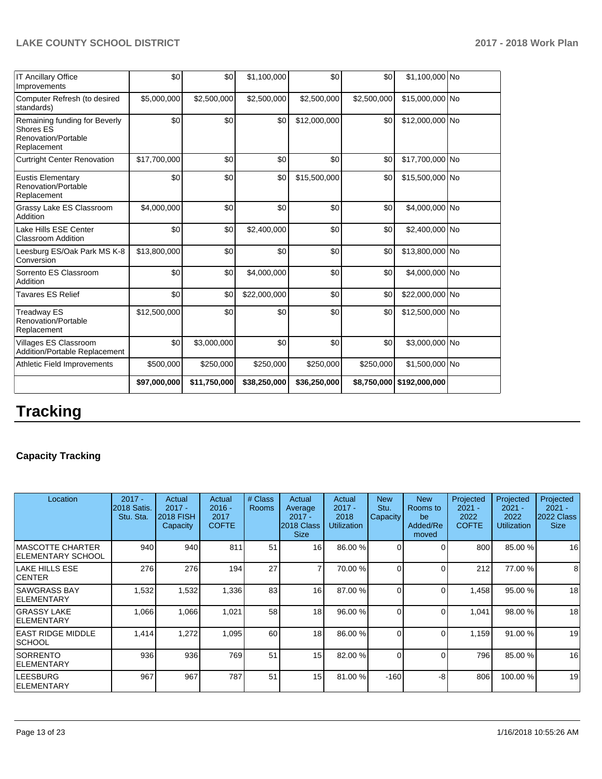| <b>IT Ancillary Office</b><br>Improvements                                       | \$0          | \$0          | \$1,100,000  | \$0          | \$0         | \$1,100,000 No            |  |
|----------------------------------------------------------------------------------|--------------|--------------|--------------|--------------|-------------|---------------------------|--|
| Computer Refresh (to desired<br>standards)                                       | \$5,000,000  | \$2,500,000  | \$2,500,000  | \$2,500,000  | \$2,500,000 | \$15,000,000 No           |  |
| Remaining funding for Beverly<br>Shores ES<br>Renovation/Portable<br>Replacement | \$0          | \$0          | \$0          | \$12,000,000 | \$0         | \$12,000,000 No           |  |
| <b>Curtright Center Renovation</b>                                               | \$17,700,000 | \$0          | \$0          | \$0          | \$0         | \$17,700,000 No           |  |
| <b>Eustis Elementary</b><br>Renovation/Portable<br>Replacement                   | \$0          | \$0          | \$0          | \$15,500,000 | \$0         | \$15,500,000 No           |  |
| Grassy Lake ES Classroom<br>Addition                                             | \$4,000,000  | \$0          | \$0          | \$0          | \$0         | \$4,000,000 No            |  |
| Lake Hills ESE Center<br><b>Classroom Addition</b>                               | \$0          | \$0          | \$2,400,000  | \$0          | \$0         | \$2,400,000 No            |  |
| Leesburg ES/Oak Park MS K-8<br>Conversion                                        | \$13,800,000 | \$0          | \$0          | \$0          | \$0         | \$13,800,000 No           |  |
| Sorrento ES Classroom<br>Addition                                                | \$0          | \$0          | \$4,000,000  | \$0          | \$0         | \$4,000,000 No            |  |
| Tavares ES Relief                                                                | \$0          | \$0          | \$22,000,000 | \$0          | \$0         | \$22,000,000 No           |  |
| Treadway ES<br>Renovation/Portable<br>Replacement                                | \$12,500,000 | \$0          | \$0          | \$0          | \$0         | \$12,500,000 No           |  |
| Villages ES Classroom<br>Addition/Portable Replacement                           | \$0          | \$3,000,000  | \$0          | \$0          | \$0         | \$3,000,000 No            |  |
| Athletic Field Improvements                                                      | \$500,000    | \$250,000    | \$250,000    | \$250,000    | \$250,000   | \$1,500,000 No            |  |
|                                                                                  | \$97,000,000 | \$11,750,000 | \$38,250,000 | \$36,250,000 |             | \$8,750,000 \$192,000,000 |  |

# **Tracking**

# **Capacity Tracking**

| Location                                | $2017 -$<br><b>2018 Satis.</b><br>Stu. Sta. | Actual<br>$2017 -$<br><b>2018 FISH</b><br>Capacity | Actual<br>$2016 -$<br>2017<br><b>COFTE</b> | # Class<br><b>Rooms</b> | Actual<br>Average<br>$2017 -$<br>2018 Class<br><b>Size</b> | Actual<br>$2017 -$<br>2018<br>Utilization | <b>New</b><br>Stu.<br>Capacity | <b>New</b><br>Rooms to<br>be<br>Added/Re<br>moved | Projected<br>$2021 -$<br>2022<br><b>COFTE</b> | Projected<br>$2021 -$<br>2022<br><b>Utilization</b> | Projected<br>$2021 -$<br>2022 Class<br><b>Size</b> |
|-----------------------------------------|---------------------------------------------|----------------------------------------------------|--------------------------------------------|-------------------------|------------------------------------------------------------|-------------------------------------------|--------------------------------|---------------------------------------------------|-----------------------------------------------|-----------------------------------------------------|----------------------------------------------------|
| IMASCOTTE CHARTER<br>IELEMENTARY SCHOOL | 940                                         | 940                                                | 811                                        | 51                      | 16                                                         | 86.00 %                                   | $\Omega$                       | 0                                                 | 800                                           | 85.00 %                                             | 16                                                 |
| LAKE HILLS ESE<br><b>CENTER</b>         | 276                                         | 276                                                | 194                                        | 27                      |                                                            | 70.00 %                                   | $\Omega$                       | 0                                                 | 212                                           | 77.00 %                                             | 8 <sub>1</sub>                                     |
| ISAWGRASS BAY<br>IELEMENTARY            | 1,532                                       | 1,532                                              | 1,336                                      | 83                      | 16                                                         | 87.00 %                                   | $\Omega$                       | 0                                                 | 1,458                                         | 95.00 %                                             | 18                                                 |
| <b>GRASSY LAKE</b><br>IELEMENTARY       | 1,066                                       | 1,066                                              | 1,021                                      | 58                      | 18                                                         | 96.00 %                                   | $\Omega$                       | 0                                                 | 1,041                                         | 98.00 %                                             | 18                                                 |
| IEAST RIDGE MIDDLE<br><b>SCHOOL</b>     | 1,414                                       | 1,272                                              | 1,095                                      | 60                      | 18                                                         | 86.00 %                                   | $\Omega$                       | 0                                                 | 1,159                                         | 91.00 %                                             | 19                                                 |
| <b>SORRENTO</b><br><b>IELEMENTARY</b>   | 936                                         | 936                                                | 769                                        | 51                      | 15                                                         | 82.00 %                                   | $\Omega$                       | 0                                                 | 796                                           | 85.00 %                                             | 16                                                 |
| <b>LEESBURG</b><br>IELEMENTARY          | 967                                         | 967                                                | 787                                        | 51                      | 15                                                         | 81.00 %                                   | $-160$                         | -8                                                | 806                                           | 100.00 %                                            | 19                                                 |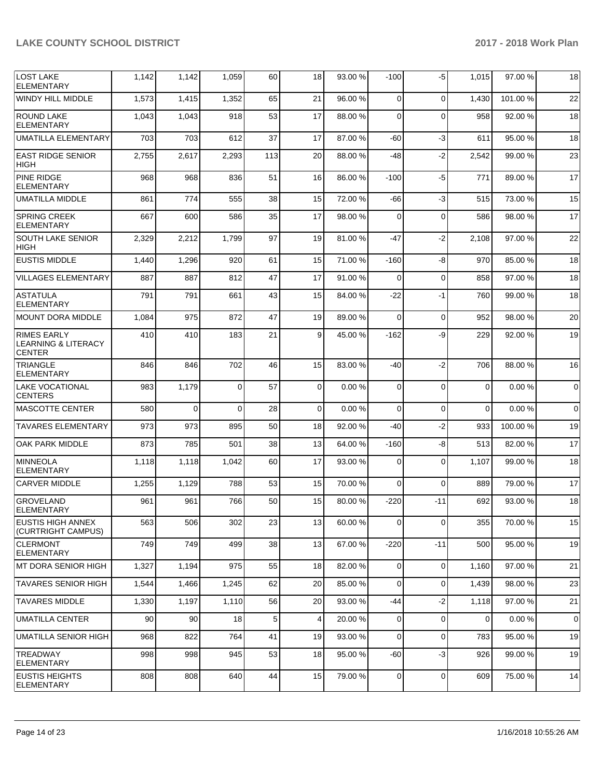| <b>LOST LAKE</b><br><b>ELEMENTARY</b>                                 | 1,142 | 1,142    | 1,059    | 60  | 18             | 93.00 % | -100        | -5          | 1,015    | 97.00 % | 18          |
|-----------------------------------------------------------------------|-------|----------|----------|-----|----------------|---------|-------------|-------------|----------|---------|-------------|
| <b>WINDY HILL MIDDLE</b>                                              | 1,573 | 1,415    | 1,352    | 65  | 21             | 96.00 % | $\Omega$    | $\Omega$    | 1,430    | 101.00% | 22          |
| <b>ROUND LAKE</b><br><b>ELEMENTARY</b>                                | 1,043 | 1,043    | 918      | 53  | 17             | 88.00 % | $\Omega$    | $\Omega$    | 958      | 92.00 % | 18          |
| UMATILLA ELEMENTARY                                                   | 703   | 703      | 612      | 37  | 17             | 87.00%  | -60         | $-3$        | 611      | 95.00 % | 18          |
| <b>EAST RIDGE SENIOR</b><br><b>HIGH</b>                               | 2,755 | 2,617    | 2,293    | 113 | 20             | 88.00 % | -48         | $-2$        | 2,542    | 99.00 % | 23          |
| <b>PINE RIDGE</b><br><b>ELEMENTARY</b>                                | 968   | 968      | 836      | 51  | 16             | 86.00 % | $-100$      | $-5$        | 771      | 89.00 % | 17          |
| <b>UMATILLA MIDDLE</b>                                                | 861   | 774      | 555      | 38  | 15             | 72.00 % | -66         | $-3$        | 515      | 73.00 % | 15          |
| <b>SPRING CREEK</b><br><b>ELEMENTARY</b>                              | 667   | 600      | 586      | 35  | 17             | 98.00 % | $\Omega$    | $\Omega$    | 586      | 98.00 % | 17          |
| <b>SOUTH LAKE SENIOR</b><br><b>HIGH</b>                               | 2,329 | 2,212    | 1,799    | 97  | 19             | 81.00 % | -47         | $-2$        | 2,108    | 97.00 % | 22          |
| <b>EUSTIS MIDDLE</b>                                                  | 1,440 | 1,296    | 920      | 61  | 15             | 71.00 % | $-160$      | -8          | 970      | 85.00 % | 18          |
| <b>VILLAGES ELEMENTARY</b>                                            | 887   | 887      | 812      | 47  | 17             | 91.00%  | $\mathbf 0$ | $\mathbf 0$ | 858      | 97.00 % | 18          |
| <b>ASTATULA</b><br><b>ELEMENTARY</b>                                  | 791   | 791      | 661      | 43  | 15             | 84.00 % | $-22$       | $-1$        | 760      | 99.00 % | 18          |
| <b>MOUNT DORA MIDDLE</b>                                              | 1,084 | 975      | 872      | 47  | 19             | 89.00 % | $\Omega$    | $\Omega$    | 952      | 98.00 % | 20          |
| <b>RIMES EARLY</b><br><b>LEARNING &amp; LITERACY</b><br><b>CENTER</b> | 410   | 410      | 183      | 21  | 9              | 45.00 % | $-162$      | -9          | 229      | 92.00 % | 19          |
| <b>TRIANGLE</b><br><b>ELEMENTARY</b>                                  | 846   | 846      | 702      | 46  | 15             | 83.00 % | -40         | $-2$        | 706      | 88.00 % | 16          |
| <b>LAKE VOCATIONAL</b><br><b>CENTERS</b>                              | 983   | 1,179    | $\Omega$ | 57  | 0              | 0.00%   | 0           | $\mathbf 0$ | $\Omega$ | 0.00%   | $\mathbf 0$ |
| <b>MASCOTTE CENTER</b>                                                | 580   | $\Omega$ | $\Omega$ | 28  | $\Omega$       | 0.00%   | $\Omega$    | $\mathbf 0$ | $\Omega$ | 0.00%   | 0           |
| <b>TAVARES ELEMENTARY</b>                                             | 973   | 973      | 895      | 50  | 18             | 92.00 % | -40         | $-2$        | 933      | 100.00% | 19          |
| <b>OAK PARK MIDDLE</b>                                                | 873   | 785      | 501      | 38  | 13             | 64.00%  | $-160$      | -8          | 513      | 82.00%  | 17          |
| <b>MINNEOLA</b><br><b>ELEMENTARY</b>                                  | 1,118 | 1,118    | 1,042    | 60  | 17             | 93.00 % | $\Omega$    | 0           | 1,107    | 99.00 % | 18          |
| <b>CARVER MIDDLE</b>                                                  | 1,255 | 1,129    | 788      | 53  | 15             | 70.00 % | $\Omega$    | $\Omega$    | 889      | 79.00 % | 17          |
| <b>GROVELAND</b><br>ELEMENTARY                                        | 961   | 961      | 766      | 50  | 15             | 80.00 % | $-220$      | $-11$       | 692      | 93.00 % | 18          |
| EUSTIS HIGH ANNEX<br>(CURTRIGHT CAMPUS)                               | 563   | 506      | 302      | 23  | 13             | 60.00 % | $\mathbf 0$ | $\Omega$    | 355      | 70.00 % | 15          |
| <b>CLERMONT</b><br><b>ELEMENTARY</b>                                  | 749   | 749      | 499      | 38  | 13             | 67.00 % | $-220$      | -11         | 500      | 95.00 % | 19          |
| IMT DORA SENIOR HIGH                                                  | 1,327 | 1,194    | 975      | 55  | 18             | 82.00 % | 0           | $\mathbf 0$ | 1,160    | 97.00 % | 21          |
| <b>TAVARES SENIOR HIGH</b>                                            | 1,544 | 1,466    | 1,245    | 62  | 20             | 85.00 % | $\mathbf 0$ | $\mathbf 0$ | 1,439    | 98.00 % | 23          |
| <b>TAVARES MIDDLE</b>                                                 | 1,330 | 1,197    | 1,110    | 56  | 20             | 93.00 % | -44         | $-2$        | 1,118    | 97.00 % | 21          |
| <b>UMATILLA CENTER</b>                                                | 90    | 90       | 18       | 5   | $\overline{4}$ | 20.00 % | 0           | $\mathbf 0$ | $\Omega$ | 0.00%   | $\mathbf 0$ |
| UMATILLA SENIOR HIGH                                                  | 968   | 822      | 764      | 41  | 19             | 93.00 % | 0           | $\mathbf 0$ | 783      | 95.00 % | 19          |
| <b>TREADWAY</b><br><b>ELEMENTARY</b>                                  | 998   | 998      | 945      | 53  | 18             | 95.00 % | -60         | -3          | 926      | 99.00 % | 19          |
| <b>EUSTIS HEIGHTS</b><br><b>ELEMENTARY</b>                            | 808   | 808      | 640      | 44  | 15             | 79.00 % | 0           | $\mathbf 0$ | 609      | 75.00 % | 14          |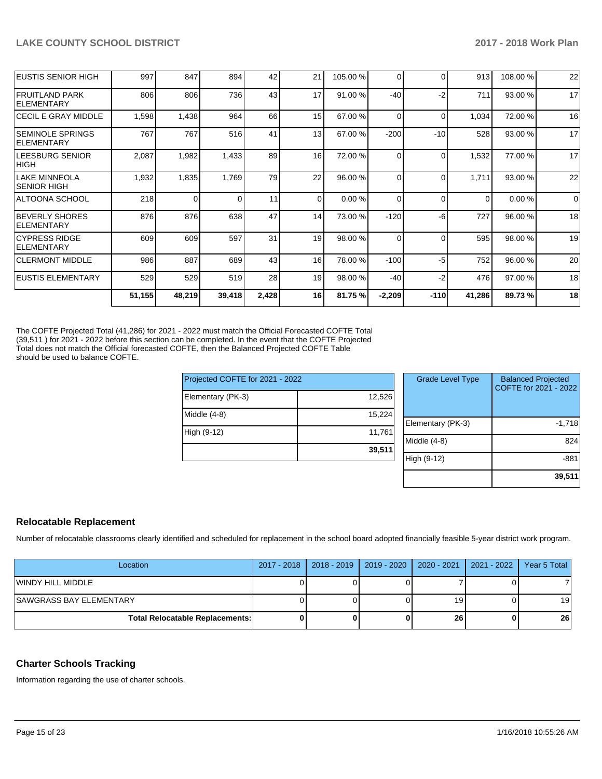| <b>IEUSTIS SENIOR HIGH</b>                  | 997    | 847    | 894      | 42    | 21       | 105.00 % | $\Omega$ | $\Omega$ | 913      | 108.00% | 22          |
|---------------------------------------------|--------|--------|----------|-------|----------|----------|----------|----------|----------|---------|-------------|
| FRUITLAND PARK<br>ELEMENTARY                | 806    | 806    | 736      | 43    | 17       | 91.00 %  | $-40$    | $-2$     | 711      | 93.00 % | 17          |
| <b>CECIL E GRAY MIDDLE</b>                  | 1,598  | 1,438  | 964      | 66    | 15       | 67.00 %  | 0        | $\Omega$ | 1,034    | 72.00 % | 16          |
| ISEMINOLE SPRINGS<br><b>IELEMENTARY</b>     | 767    | 767    | 516      | 41    | 13       | 67.00 %  | $-200$   | $-10$    | 528      | 93.00 % | 17          |
| <b>LEESBURG SENIOR</b><br>HIGH              | 2,087  | 1,982  | 1,433    | 89    | 16       | 72.00 %  | 0        | $\Omega$ | 1,532    | 77.00 % | 17          |
| LAKE MINNEOLA<br> SENIOR HIGH               | 1,932  | 1,835  | 1,769    | 79    | 22       | 96.00 %  | 0        | $\Omega$ | 1,711    | 93.00 % | 22          |
| ALTOONA SCHOOL                              | 218    | 0      | $\Omega$ | 11    | $\Omega$ | 0.00%    | $\Omega$ | $\Omega$ | $\Omega$ | 0.00%   | $\mathbf 0$ |
| <b>BEVERLY SHORES</b><br><b>IELEMENTARY</b> | 876    | 876    | 638      | 47    | 14       | 73.00 %  | $-120$   | $-6$     | 727      | 96.00 % | 18          |
| <b>ICYPRESS RIDGE</b><br>ELEMENTARY         | 609    | 609    | 597      | 31    | 19       | 98.00 %  | 0        | $\Omega$ | 595      | 98.00 % | 19          |
| <b>CLERMONT MIDDLE</b>                      | 986    | 887    | 689      | 43    | 16       | 78.00 %  | $-100$   | -5       | 752      | 96.00 % | 20          |
| <b>EUSTIS ELEMENTARY</b>                    | 529    | 529    | 519      | 28    | 19       | 98.00 %  | $-40$    | $-2$     | 476      | 97.00 % | 18          |
|                                             | 51,155 | 48,219 | 39,418   | 2,428 | 16       | 81.75 %  | $-2,209$ | $-110$   | 41,286   | 89.73 % | 18          |

The COFTE Projected Total (41,286) for 2021 - 2022 must match the Official Forecasted COFTE Total (39,511 ) for 2021 - 2022 before this section can be completed. In the event that the COFTE Projected Total does not match the Official forecasted COFTE, then the Balanced Projected COFTE Table should be used to balance COFTE.

| Projected COFTE for 2021 - 2022 |        |     |  |
|---------------------------------|--------|-----|--|
| Elementary (PK-3)               | 12,526 |     |  |
| Middle (4-8)                    | 15,224 | Ele |  |
| High (9-12)                     | 11,761 | Mi  |  |
|                                 | 39,511 | Hi  |  |

| <b>Grade Level Type</b> | <b>Balanced Projected</b><br>COFTE for 2021 - 2022 |
|-------------------------|----------------------------------------------------|
| Elementary (PK-3)       | $-1,718$                                           |
| Middle (4-8)            | 824                                                |
| High (9-12)             | -881                                               |
|                         | 39,511                                             |

## **Relocatable Replacement**

Number of relocatable classrooms clearly identified and scheduled for replacement in the school board adopted financially feasible 5-year district work program.

| Location                               | 2017 - 2018   2018 - 2019   2019 - 2020   2020 - 2021   2021 - 2022 |    | Year 5 Total |
|----------------------------------------|---------------------------------------------------------------------|----|--------------|
| WINDY HILL MIDDLE                      |                                                                     |    |              |
| <b>SAWGRASS BAY ELEMENTARY</b>         |                                                                     | 19 | 19           |
| <b>Total Relocatable Replacements:</b> |                                                                     | 26 | 26           |

### **Charter Schools Tracking**

Information regarding the use of charter schools.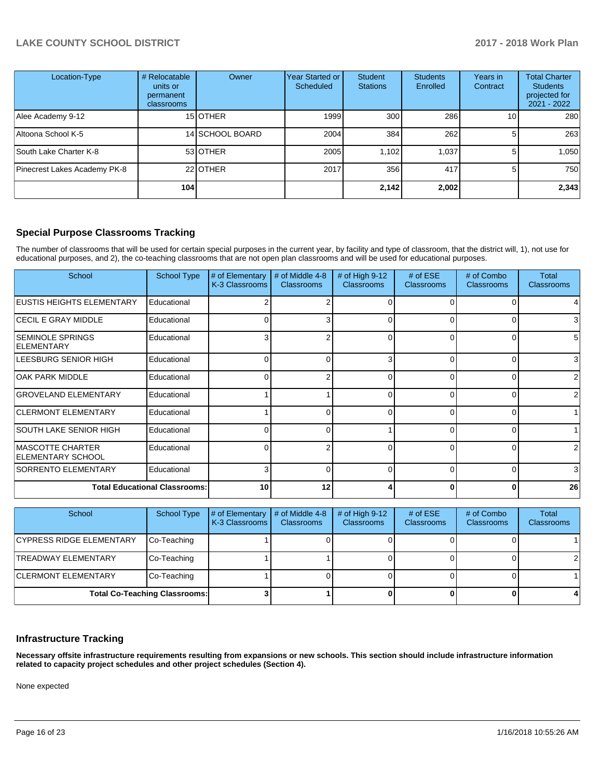| Location-Type                | # Relocatable<br>units or<br>permanent<br>classrooms | Owner           | Year Started or<br>Scheduled | <b>Student</b><br><b>Stations</b> | <b>Students</b><br>Enrolled | Years in<br>Contract | <b>Total Charter</b><br><b>Students</b><br>projected for<br>$2021 - 2022$ |
|------------------------------|------------------------------------------------------|-----------------|------------------------------|-----------------------------------|-----------------------------|----------------------|---------------------------------------------------------------------------|
| Alee Academy 9-12            |                                                      | 15 OTHER        | 1999                         | 300                               | 286                         | 10 <sub>1</sub>      | 280                                                                       |
| Altoona School K-5           |                                                      | 14 SCHOOL BOARD | 2004                         | 384                               | 262                         | 51                   | 263                                                                       |
| South Lake Charter K-8       |                                                      | 53 OTHER        | 2005                         | 1,102                             | 1.037                       |                      | 1,050                                                                     |
| Pinecrest Lakes Academy PK-8 |                                                      | 22 OTHER        | 2017                         | 356                               | 417                         | 5                    | 750                                                                       |
|                              | 104 l                                                |                 |                              | 2,142                             | 2,002                       |                      | 2,343                                                                     |

### **Special Purpose Classrooms Tracking**

The number of classrooms that will be used for certain special purposes in the current year, by facility and type of classroom, that the district will, 1), not use for educational purposes, and 2), the co-teaching classrooms that are not open plan classrooms and will be used for educational purposes.

| School                                              | <b>School Type</b>                   | # of Elementary<br>K-3 Classrooms | # of Middle 4-8<br><b>Classrooms</b> | # of High $9-12$<br><b>Classrooms</b> | # of $ESE$<br><b>Classrooms</b> | # of Combo<br><b>Classrooms</b> | Total<br><b>Classrooms</b> |
|-----------------------------------------------------|--------------------------------------|-----------------------------------|--------------------------------------|---------------------------------------|---------------------------------|---------------------------------|----------------------------|
| <b>EUSTIS HEIGHTS ELEMENTARY</b>                    | Educational                          |                                   |                                      |                                       |                                 |                                 |                            |
| <b>CECIL E GRAY MIDDLE</b>                          | Educational                          | ∩                                 | 3                                    | $\Omega$                              | $\Omega$                        | 0                               | 3                          |
| <b>SEMINOLE SPRINGS</b><br><b>ELEMENTARY</b>        | Educational                          | 3                                 | 2                                    | 0                                     | $\Omega$                        | $\Omega$                        | 5                          |
| LEESBURG SENIOR HIGH                                | Educational                          | $\Omega$                          | 0                                    | 3                                     | 0                               | 0                               | 3                          |
| <b>OAK PARK MIDDLE</b>                              | Educational                          | O                                 |                                      | $\Omega$                              |                                 |                                 |                            |
| <b>GROVELAND ELEMENTARY</b>                         | Educational                          |                                   |                                      | $\Omega$                              |                                 | n                               | 2                          |
| <b>CLERMONT ELEMENTARY</b>                          | Educational                          |                                   | n                                    | $\Omega$                              | U                               | $\Omega$                        |                            |
| ISOUTH LAKE SENIOR HIGH                             | Educational                          | $\Omega$                          | $\Omega$                             |                                       | <sup>n</sup>                    | $\Omega$                        |                            |
| <b>MASCOTTE CHARTER</b><br><b>ELEMENTARY SCHOOL</b> | Educational                          | C                                 | 2                                    | $\Omega$                              | ∩                               | O                               |                            |
| <b>SORRENTO ELEMENTARY</b>                          | Educational                          | 3                                 |                                      | $\Omega$                              |                                 | O                               | 3                          |
|                                                     | <b>Total Educational Classrooms:</b> | 10                                | 12                                   |                                       |                                 | 0                               | 26                         |

| School                          | School Type                          | # of Elementary<br>K-3 Classrooms | # of Middle 4-8<br><b>Classrooms</b> | # of High $9-12$<br><b>Classrooms</b> | # of $ESE$<br><b>Classrooms</b> | # of Combo<br><b>Classrooms</b> | Total<br><b>Classrooms</b> |
|---------------------------------|--------------------------------------|-----------------------------------|--------------------------------------|---------------------------------------|---------------------------------|---------------------------------|----------------------------|
| <b>CYPRESS RIDGE ELEMENTARY</b> | Co-Teaching                          |                                   |                                      |                                       |                                 |                                 |                            |
| <b>TREADWAY ELEMENTARY</b>      | Co-Teaching                          |                                   |                                      |                                       |                                 |                                 | 2                          |
| <b>CLERMONT ELEMENTARY</b>      | Co-Teaching                          |                                   |                                      |                                       |                                 |                                 |                            |
|                                 | <b>Total Co-Teaching Classrooms:</b> |                                   |                                      |                                       |                                 |                                 |                            |

### **Infrastructure Tracking**

**Necessary offsite infrastructure requirements resulting from expansions or new schools. This section should include infrastructure information related to capacity project schedules and other project schedules (Section 4).** 

None expected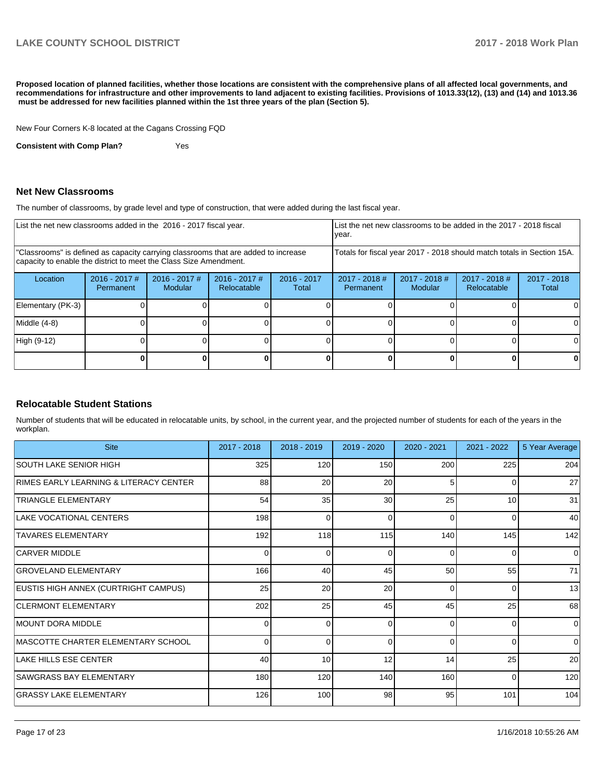**Proposed location of planned facilities, whether those locations are consistent with the comprehensive plans of all affected local governments, and recommendations for infrastructure and other improvements to land adjacent to existing facilities. Provisions of 1013.33(12), (13) and (14) and 1013.36 must be addressed for new facilities planned within the 1st three years of the plan (Section 5).** 

New Four Corners K-8 located at the Cagans Crossing FQD

**Consistent with Comp Plan?** Yes

### **Net New Classrooms**

The number of classrooms, by grade level and type of construction, that were added during the last fiscal year.

| List the net new classrooms added in the 2016 - 2017 fiscal year.                                                                                       |                              |                            |                                                                        | List the net new classrooms to be added in the 2017 - 2018 fiscal<br>year. |                                     |                                   |                                |                        |
|---------------------------------------------------------------------------------------------------------------------------------------------------------|------------------------------|----------------------------|------------------------------------------------------------------------|----------------------------------------------------------------------------|-------------------------------------|-----------------------------------|--------------------------------|------------------------|
| "Classrooms" is defined as capacity carrying classrooms that are added to increase<br>capacity to enable the district to meet the Class Size Amendment. |                              |                            | Totals for fiscal year 2017 - 2018 should match totals in Section 15A. |                                                                            |                                     |                                   |                                |                        |
| Location                                                                                                                                                | $2016 - 2017$ #<br>Permanent | $2016 - 2017$ #<br>Modular | $2016 - 2017$ #<br>Relocatable                                         | $2016 - 2017$<br>Total                                                     | $2017 - 2018$ #<br><b>Permanent</b> | $2017 - 2018$ #<br><b>Modular</b> | $2017 - 2018$ #<br>Relocatable | $2017 - 2018$<br>Total |
| Elementary (PK-3)                                                                                                                                       |                              |                            |                                                                        |                                                                            |                                     |                                   |                                | 0                      |
| Middle (4-8)                                                                                                                                            |                              |                            |                                                                        |                                                                            |                                     |                                   |                                | 0                      |
| High (9-12)                                                                                                                                             |                              |                            |                                                                        |                                                                            |                                     |                                   |                                | $\Omega$               |
|                                                                                                                                                         |                              |                            |                                                                        |                                                                            |                                     |                                   |                                | 0                      |

### **Relocatable Student Stations**

Number of students that will be educated in relocatable units, by school, in the current year, and the projected number of students for each of the years in the workplan.

| <b>Site</b>                            | 2017 - 2018 | $2018 - 2019$ | 2019 - 2020 | $2020 - 2021$ | 2021 - 2022 | 5 Year Average |
|----------------------------------------|-------------|---------------|-------------|---------------|-------------|----------------|
| ISOUTH LAKE SENIOR HIGH                | 325         | 120           | 150         | 200           | 225         | 204            |
| RIMES EARLY LEARNING & LITERACY CENTER | 88          | 20            | 20          | 5             | 0           | 27             |
| <b>TRIANGLE ELEMENTARY</b>             | 54          | 35            | 30          | 25            | 10          | 31             |
| LAKE VOCATIONAL CENTERS                | 198         | $\Omega$      | 0           | $\Omega$      | 0           | 40             |
| <b>TAVARES ELEMENTARY</b>              | 192         | 118           | 115         | 140           | 145         | 142            |
| <b>CARVER MIDDLE</b>                   | C           | $\Omega$      | 0           | $\Omega$      | 0           | $\Omega$       |
| <b>GROVELAND ELEMENTARY</b>            | 166         | 40            | 45          | 50            | 55          | 71             |
| EUSTIS HIGH ANNEX (CURTRIGHT CAMPUS)   | 25          | 20            | 20          | $\Omega$      | 0           | 13             |
| <b>CLERMONT ELEMENTARY</b>             | 202         | 25            | 45          | 45            | 25          | 68             |
| <b>IMOUNT DORA MIDDLE</b>              | ∩           | $\Omega$      | 0           | $\Omega$      | 0           | $\Omega$       |
| MASCOTTE CHARTER ELEMENTARY SCHOOL     | $\Omega$    | $\Omega$      | $\Omega$    | $\Omega$      | $\Omega$    | $\Omega$       |
| LAKE HILLS ESE CENTER                  | 40          | 10            | 12          | 14            | 25          | 20             |
| <b>SAWGRASS BAY ELEMENTARY</b>         | 180         | 120           | 140         | 160           | $\Omega$    | 120            |
| <b>GRASSY LAKE ELEMENTARY</b>          | 126         | 100           | 98          | 95            | 101         | 104            |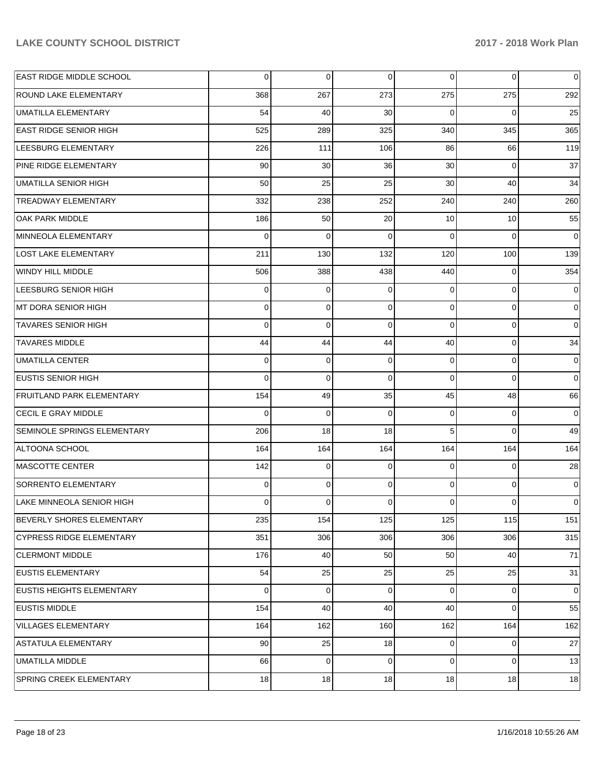| EAST RIDGE MIDDLE SCHOOL           | 0           | 0           | 0              | $\overline{0}$ | $\mathbf 0$    | 0              |
|------------------------------------|-------------|-------------|----------------|----------------|----------------|----------------|
| <b>ROUND LAKE ELEMENTARY</b>       | 368         | 267         | 273            | 275            | 275            | 292            |
| UMATILLA ELEMENTARY                | 54          | 40          | 30             | $\Omega$       | $\Omega$       | 25             |
| <b>EAST RIDGE SENIOR HIGH</b>      | 525         | 289         | 325            | 340            | 345            | 365            |
| LEESBURG ELEMENTARY                | 226         | 111         | 106            | 86             | 66             | 119            |
| PINE RIDGE ELEMENTARY              | 90          | 30          | 36             | 30             | $\Omega$       | 37             |
| <b>UMATILLA SENIOR HIGH</b>        | 50          | 25          | 25             | 30             | 40             | 34             |
| TREADWAY ELEMENTARY                | 332         | 238         | 252            | 240            | 240            | 260            |
| OAK PARK MIDDLE                    | 186         | 50          | 20             | 10             | 10             | 55             |
| MINNEOLA ELEMENTARY                | $\Omega$    | $\Omega$    | $\Omega$       | $\Omega$       | $\Omega$       | $\overline{0}$ |
| LOST LAKE ELEMENTARY               | 211         | 130         | 132            | 120            | 100            | 139            |
| WINDY HILL MIDDLE                  | 506         | 388         | 438            | 440            | $\Omega$       | 354            |
| LEESBURG SENIOR HIGH               | $\Omega$    | 0           | $\Omega$       | $\Omega$       | $\Omega$       | $\overline{0}$ |
| MT DORA SENIOR HIGH                | $\Omega$    | $\mathbf 0$ | $\mathbf 0$    | $\Omega$       | $\Omega$       | $\overline{0}$ |
| <b>TAVARES SENIOR HIGH</b>         | $\Omega$    | $\Omega$    | $\Omega$       | $\Omega$       | $\Omega$       | $\overline{0}$ |
| <b>TAVARES MIDDLE</b>              | 44          | 44          | 44             | 40             | $\Omega$       | 34             |
| <b>UMATILLA CENTER</b>             | $\Omega$    | $\mathbf 0$ | 0              | $\Omega$       | $\Omega$       | $\overline{0}$ |
| <b>EUSTIS SENIOR HIGH</b>          | $\Omega$    | $\mathbf 0$ | $\Omega$       | $\Omega$       | $\Omega$       | $\overline{0}$ |
| <b>FRUITLAND PARK ELEMENTARY</b>   | 154         | 49          | 35             | 45             | 48             | 66             |
| CECIL E GRAY MIDDLE                | $\Omega$    | $\mathbf 0$ | $\Omega$       | $\Omega$       | $\Omega$       | $\overline{0}$ |
| <b>SEMINOLE SPRINGS ELEMENTARY</b> | 206         | 18          | 18             | 5              | $\Omega$       | 49             |
| ALTOONA SCHOOL                     | 164         | 164         | 164            | 164            | 164            | 164            |
| <b>MASCOTTE CENTER</b>             | 142         | 0           | $\Omega$       | $\Omega$       | $\Omega$       | 28             |
| <b>SORRENTO ELEMENTARY</b>         | $\Omega$    | $\mathbf 0$ | 0              | $\Omega$       | $\Omega$       | $\overline{0}$ |
| LAKE MINNEOLA SENIOR HIGH          | 0           | 0           | $\Omega$       | 0              | $\Omega$       | $\overline{0}$ |
| <b>BEVERLY SHORES ELEMENTARY</b>   | 235         | 154         | 125            | 125            | 115            | 151            |
| <b>CYPRESS RIDGE ELEMENTARY</b>    | 351         | 306         | 306            | 306            | 306            | 315            |
| <b>CLERMONT MIDDLE</b>             | 176         | 40          | 50             | 50             | 40             | 71             |
| <b>EUSTIS ELEMENTARY</b>           | 54          | 25          | 25             | 25             | 25             | 31             |
| EUSTIS HEIGHTS ELEMENTARY          | $\mathbf 0$ | $\mathbf 0$ | $\overline{0}$ | $\overline{0}$ | $\mathbf 0$    | 0              |
| <b>EUSTIS MIDDLE</b>               | 154         | 40          | 40             | 40             | $\Omega$       | 55             |
| VILLAGES ELEMENTARY                | 164         | 162         | 160            | 162            | 164            | 162            |
| ASTATULA ELEMENTARY                | 90          | 25          | 18             | $\overline{0}$ | $\overline{0}$ | $27\,$         |
| <b>UMATILLA MIDDLE</b>             | 66          | $\mathbf 0$ | $\overline{0}$ | $\Omega$       | $\mathbf 0$    | 13             |
| SPRING CREEK ELEMENTARY            | 18          | 18          | 18             | 18             | 18             | 18             |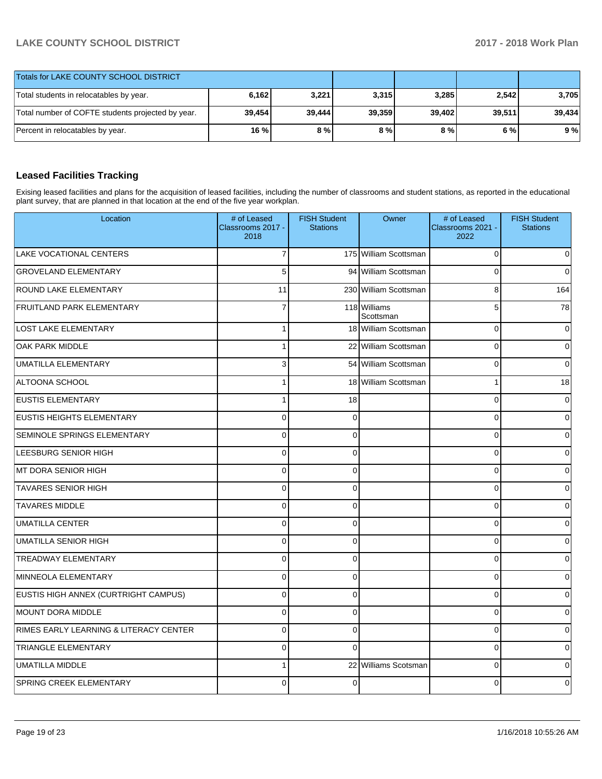| Totals for LAKE COUNTY SCHOOL DISTRICT            |        |        |        |        |        |        |
|---------------------------------------------------|--------|--------|--------|--------|--------|--------|
| Total students in relocatables by year.           | 6,162  | 3.221  | 3,315  | 3,285  | 2,542  | 3,705  |
| Total number of COFTE students projected by year. | 39.454 | 39.444 | 39.359 | 39.402 | 39.511 | 39.434 |
| Percent in relocatables by year.                  | 16 %   | 8%     | 8%     | 8%     | 6 % l  | 9%     |

# **Leased Facilities Tracking**

Exising leased facilities and plans for the acquisition of leased facilities, including the number of classrooms and student stations, as reported in the educational plant survey, that are planned in that location at the end of the five year workplan.

| Location                               | # of Leased<br>Classrooms 2017 -<br>2018 | <b>FISH Student</b><br><b>Stations</b> | Owner                     | # of Leased<br>Classrooms 2021 -<br>2022 | <b>FISH Student</b><br><b>Stations</b> |
|----------------------------------------|------------------------------------------|----------------------------------------|---------------------------|------------------------------------------|----------------------------------------|
| LAKE VOCATIONAL CENTERS                | $\overline{7}$                           |                                        | 175 William Scottsman     | $\mathbf 0$                              | 0                                      |
| <b>GROVELAND ELEMENTARY</b>            | 5                                        |                                        | 94 William Scottsman      | $\mathbf 0$                              | $\Omega$                               |
| <b>ROUND LAKE ELEMENTARY</b>           | 11                                       |                                        | 230 William Scottsman     | 8                                        | 164                                    |
| <b>FRUITLAND PARK ELEMENTARY</b>       | $\overline{7}$                           |                                        | 118 Williams<br>Scottsman | 5                                        | $\overline{78}$                        |
| <b>LOST LAKE ELEMENTARY</b>            | 1                                        |                                        | 18 William Scottsman      | $\mathbf 0$                              | 0                                      |
| OAK PARK MIDDLE                        | $\mathbf{1}$                             |                                        | 22 William Scottsman      | $\mathbf 0$                              | $\Omega$                               |
| UMATILLA ELEMENTARY                    | 3                                        |                                        | 54 William Scottsman      | $\mathbf 0$                              | $\Omega$                               |
| ALTOONA SCHOOL                         | 1                                        |                                        | 18 William Scottsman      | $\mathbf{1}$                             | 18                                     |
| <b>EUSTIS ELEMENTARY</b>               | 1                                        | 18                                     |                           | $\mathbf 0$                              | $\Omega$                               |
| <b>EUSTIS HEIGHTS ELEMENTARY</b>       | 0                                        | 0                                      |                           | $\mathbf 0$                              | $\Omega$                               |
| <b>SEMINOLE SPRINGS ELEMENTARY</b>     | 0                                        | $\Omega$                               |                           | $\mathbf 0$                              | 0                                      |
| LEESBURG SENIOR HIGH                   | 0                                        | $\mathbf{0}$                           |                           | $\mathbf 0$                              | $\Omega$                               |
| IMT DORA SENIOR HIGH                   | 0                                        | $\Omega$                               |                           | $\mathbf 0$                              | 0                                      |
| <b>TAVARES SENIOR HIGH</b>             | $\Omega$                                 | $\mathbf{0}$                           |                           | $\Omega$                                 | $\Omega$                               |
| <b>TAVARES MIDDLE</b>                  | $\overline{0}$                           | $\Omega$                               |                           | $\mathbf 0$                              | 0                                      |
| <b>UMATILLA CENTER</b>                 | 0                                        | $\Omega$                               |                           | $\mathbf 0$                              | $\Omega$                               |
| <b>UMATILLA SENIOR HIGH</b>            | 0                                        | $\Omega$                               |                           | $\mathbf 0$                              | <sup>0</sup>                           |
| <b>TREADWAY ELEMENTARY</b>             | $\mathsf{O}\xspace$                      | 0                                      |                           | $\pmb{0}$                                | $\Omega$                               |
| MINNEOLA ELEMENTARY                    | 0                                        | $\Omega$                               |                           | $\mathbf 0$                              | <sup>0</sup>                           |
| EUSTIS HIGH ANNEX (CURTRIGHT CAMPUS)   | 0                                        | $\mathbf 0$                            |                           | $\mathbf 0$                              | $\Omega$                               |
| MOUNT DORA MIDDLE                      | 0                                        | 0                                      |                           | $\mathbf 0$                              | $\Omega$                               |
| RIMES EARLY LEARNING & LITERACY CENTER | 0                                        | 0                                      |                           | $\mathbf 0$                              | $\Omega$                               |
| <b>TRIANGLE ELEMENTARY</b>             | 0                                        | $\Omega$                               |                           | $\mathbf 0$                              | $\Omega$                               |
| <b>UMATILLA MIDDLE</b>                 | 1                                        | 22                                     | Williams Scotsman         | $\mathbf 0$                              | $\Omega$                               |
| <b>SPRING CREEK ELEMENTARY</b>         | 0                                        | $\Omega$                               |                           | 0                                        | 0                                      |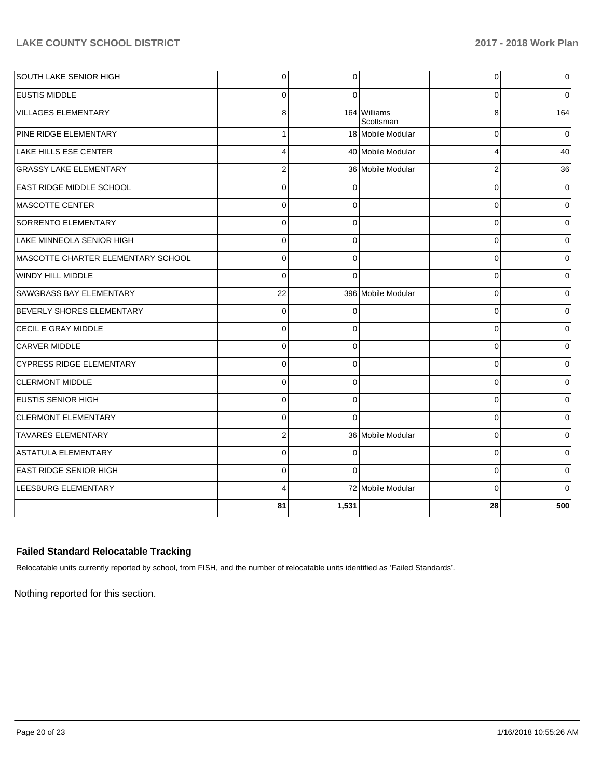| <b>SOUTH LAKE SENIOR HIGH</b>      | $\overline{0}$ | 0        |                           | 0        | 0              |
|------------------------------------|----------------|----------|---------------------------|----------|----------------|
| <b>EUSTIS MIDDLE</b>               | $\Omega$       | $\Omega$ |                           | 0        | $\Omega$       |
| <b>VILLAGES ELEMENTARY</b>         | 8              |          | 164 Williams<br>Scottsman | 8        | 164            |
| <b>PINE RIDGE ELEMENTARY</b>       | $\mathbf{1}$   |          | 18 Mobile Modular         | $\Omega$ | $\Omega$       |
| LAKE HILLS ESE CENTER              | 4              |          | 40 Mobile Modular         | 4        | 40             |
| <b>GRASSY LAKE ELEMENTARY</b>      | $\overline{2}$ |          | 36 Mobile Modular         | 2        | 36             |
| <b>EAST RIDGE MIDDLE SCHOOL</b>    | $\Omega$       | C        |                           | C        | $\overline{0}$ |
| <b>MASCOTTE CENTER</b>             | 0              | $\Omega$ |                           | C        | $\Omega$       |
| SORRENTO ELEMENTARY                | 0              | $\Omega$ |                           | C        | $\Omega$       |
| LAKE MINNEOLA SENIOR HIGH          | 0              | $\Omega$ |                           | C        | $\Omega$       |
| MASCOTTE CHARTER ELEMENTARY SCHOOL | $\overline{0}$ | $\Omega$ |                           | 0        | $\overline{0}$ |
| <b>WINDY HILL MIDDLE</b>           | $\Omega$       | $\Omega$ |                           | $\Omega$ | $\overline{0}$ |
| <b>SAWGRASS BAY ELEMENTARY</b>     | 22             |          | 396 Mobile Modular        | $\Omega$ | $\Omega$       |
| BEVERLY SHORES ELEMENTARY          | $\mathbf 0$    | $\Omega$ |                           | $\Omega$ | $\Omega$       |
| CECIL E GRAY MIDDLE                | $\Omega$       | $\Omega$ |                           | $\Omega$ | $\Omega$       |
| <b>CARVER MIDDLE</b>               | $\mathbf 0$    | $\Omega$ |                           | 0        | 0              |
| <b>CYPRESS RIDGE ELEMENTARY</b>    | $\Omega$       | $\Omega$ |                           | 0        | 0              |
| <b>CLERMONT MIDDLE</b>             | $\Omega$       | $\Omega$ |                           | 0        | 0              |
| <b>EUSTIS SENIOR HIGH</b>          | $\Omega$       | $\Omega$ |                           | 0        | $\overline{0}$ |
| <b>CLERMONT ELEMENTARY</b>         | $\Omega$       | $\Omega$ |                           | $\Omega$ | $\overline{0}$ |
| <b>TAVARES ELEMENTARY</b>          | $\overline{2}$ |          | 36 Mobile Modular         | $\Omega$ | $\overline{0}$ |
| <b>ASTATULA ELEMENTARY</b>         | $\Omega$       | $\Omega$ |                           | $\Omega$ | $\overline{0}$ |
| <b>EAST RIDGE SENIOR HIGH</b>      | $\Omega$       | $\Omega$ |                           | $\Omega$ | $\Omega$       |
| LEESBURG ELEMENTARY                | 4              |          | 72 Mobile Modular         | $\Omega$ | $\Omega$       |
|                                    | 81             | 1,531    |                           | 28       | 500            |

## **Failed Standard Relocatable Tracking**

Relocatable units currently reported by school, from FISH, and the number of relocatable units identified as 'Failed Standards'.

Nothing reported for this section.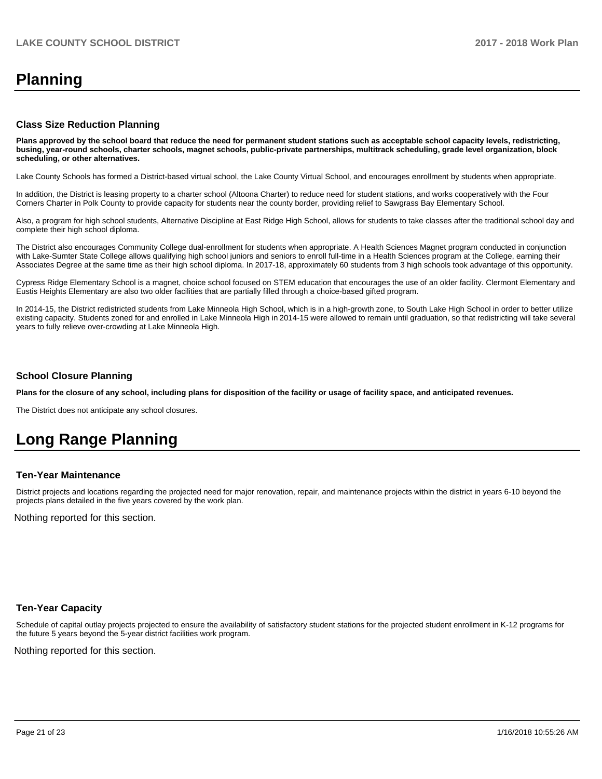# **Planning**

### **Class Size Reduction Planning**

**Plans approved by the school board that reduce the need for permanent student stations such as acceptable school capacity levels, redistricting, busing, year-round schools, charter schools, magnet schools, public-private partnerships, multitrack scheduling, grade level organization, block scheduling, or other alternatives.**

Lake County Schools has formed a District-based virtual school, the Lake County Virtual School, and encourages enrollment by students when appropriate.

In addition, the District is leasing property to a charter school (Altoona Charter) to reduce need for student stations, and works cooperatively with the Four Corners Charter in Polk County to provide capacity for students near the county border, providing relief to Sawgrass Bay Elementary School.

Also, a program for high school students, Alternative Discipline at East Ridge High School, allows for students to take classes after the traditional school day and complete their high school diploma.

The District also encourages Community College dual-enrollment for students when appropriate. A Health Sciences Magnet program conducted in conjunction with Lake-Sumter State College allows qualifying high school juniors and seniors to enroll full-time in a Health Sciences program at the College, earning their Associates Degree at the same time as their high school diploma. In 2017-18, approximately 60 students from 3 high schools took advantage of this opportunity.

Cypress Ridge Elementary School is a magnet, choice school focused on STEM education that encourages the use of an older facility. Clermont Elementary and Eustis Heights Elementary are also two older facilities that are partially filled through a choice-based gifted program.

In 2014-15, the District redistricted students from Lake Minneola High School, which is in a high-growth zone, to South Lake High School in order to better utilize existing capacity. Students zoned for and enrolled in Lake Minneola High in 2014-15 were allowed to remain until graduation, so that redistricting will take several years to fully relieve over-crowding at Lake Minneola High.

### **School Closure Planning**

**Plans for the closure of any school, including plans for disposition of the facility or usage of facility space, and anticipated revenues.** 

The District does not anticipate any school closures.

# **Long Range Planning**

### **Ten-Year Maintenance**

District projects and locations regarding the projected need for major renovation, repair, and maintenance projects within the district in years 6-10 beyond the projects plans detailed in the five years covered by the work plan.

Nothing reported for this section.

### **Ten-Year Capacity**

Schedule of capital outlay projects projected to ensure the availability of satisfactory student stations for the projected student enrollment in K-12 programs for the future 5 years beyond the 5-year district facilities work program.

Nothing reported for this section.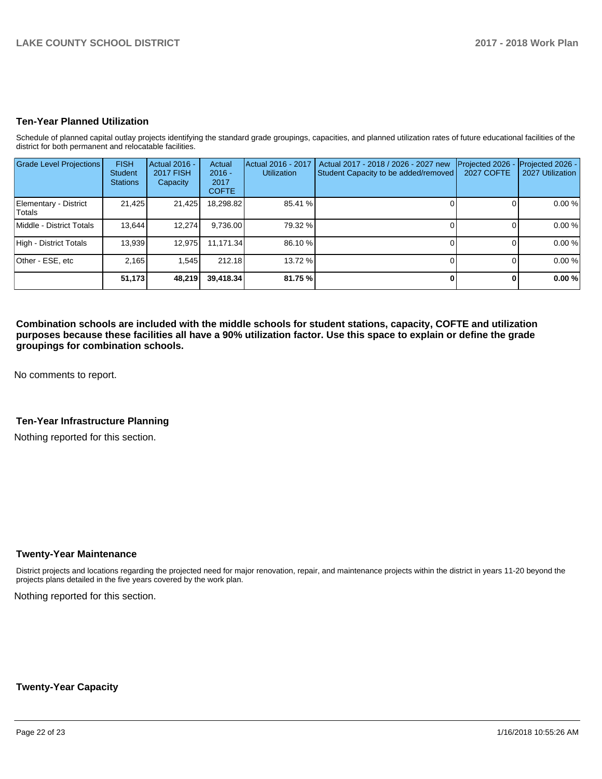### **Ten-Year Planned Utilization**

Schedule of planned capital outlay projects identifying the standard grade groupings, capacities, and planned utilization rates of future educational facilities of the district for both permanent and relocatable facilities.

| <b>Grade Level Projections</b>   | <b>FISH</b><br><b>Student</b><br><b>Stations</b> | Actual 2016 -<br><b>2017 FISH</b><br>Capacity | Actual<br>$2016 -$<br>2017<br><b>COFTE</b> | Actual 2016 - 2017<br><b>Utilization</b> | Actual 2017 - 2018 / 2026 - 2027 new<br>Student Capacity to be added/removed | Projected 2026<br>2027 COFTE | Projected 2026 -<br>2027 Utilization |
|----------------------------------|--------------------------------------------------|-----------------------------------------------|--------------------------------------------|------------------------------------------|------------------------------------------------------------------------------|------------------------------|--------------------------------------|
| Elementary - District<br> Totals | 21,425                                           | 21,425                                        | 18,298.82                                  | 85.41 %                                  |                                                                              |                              | 0.00 %                               |
| Middle - District Totals         | 13.644                                           | 12,274                                        | 9,736.00                                   | 79.32 %                                  |                                                                              |                              | 0.00%                                |
| High - District Totals           | 13.939                                           | 12.975                                        | 11.171.34                                  | 86.10 %                                  |                                                                              |                              | 0.00 %                               |
| Other - ESE, etc                 | 2.165                                            | 1.545                                         | 212.18                                     | 13.72 %                                  |                                                                              |                              | 0.00 %                               |
|                                  | 51,173                                           | 48,219                                        | 39,418.34                                  | 81.75 %                                  |                                                                              |                              | 0.00%                                |

**Combination schools are included with the middle schools for student stations, capacity, COFTE and utilization purposes because these facilities all have a 90% utilization factor. Use this space to explain or define the grade groupings for combination schools.** 

No comments to report.

## **Ten-Year Infrastructure Planning**

Nothing reported for this section.

### **Twenty-Year Maintenance**

District projects and locations regarding the projected need for major renovation, repair, and maintenance projects within the district in years 11-20 beyond the projects plans detailed in the five years covered by the work plan.

Nothing reported for this section.

### **Twenty-Year Capacity**